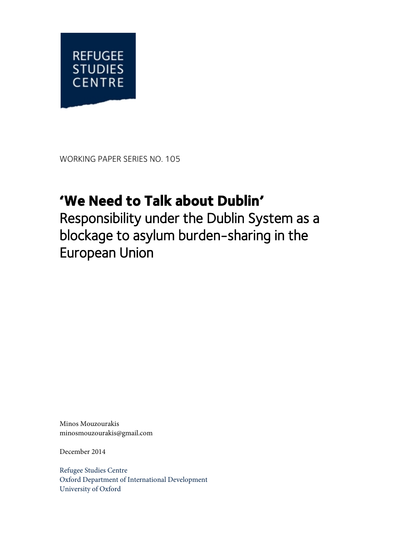

WORKING PAPER SERIES NO. 105

# **'We Need to Talk about Dublin'**

Responsibility under the Dublin System as a blockage to asylum burden-sharing in the European Union

Minos Mouzourakis minosmouzourakis@gmail.com

December 2014

Refugee Studies Centre Oxford Department of International Development University of Oxford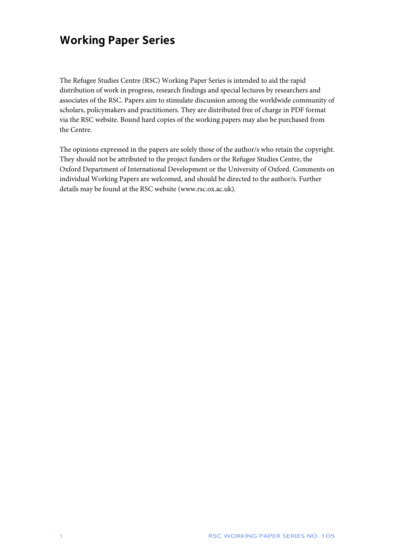## **Working Paper Series**

The Refugee Studies Centre (RSC) Working Paper Series is intended to aid the rapid distribution of work in progress, research findings and special lectures by researchers and associates of the RSC. Papers aim to stimulate discussion among the worldwide community of scholars, policymakers and practitioners. They are distributed free of charge in PDF format via the RSC website. Bound hard copies of the working papers may also be purchased from the Centre.

The opinions expressed in the papers are solely those of the author/s who retain the copyright. They should not be attributed to the project funders or the Refugee Studies Centre, the Oxford Department of International Development or the University of Oxford. Comments on individual Working Papers are welcomed, and should be directed to the author/s. Further details may be found at the RSC website (www.rsc.ox.ac.uk).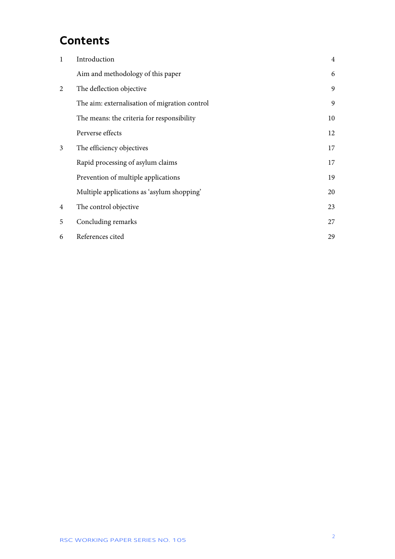### **Contents**

| 1 | Introduction                                  | $\overline{4}$ |
|---|-----------------------------------------------|----------------|
|   | Aim and methodology of this paper             | 6              |
| 2 | The deflection objective                      | 9              |
|   | The aim: externalisation of migration control | 9              |
|   | The means: the criteria for responsibility    | 10             |
|   | Perverse effects                              | 12             |
| 3 | The efficiency objectives                     | 17             |
|   | Rapid processing of asylum claims             | 17             |
|   | Prevention of multiple applications           | 19             |
|   | Multiple applications as 'asylum shopping'    | 20             |
| 4 | The control objective                         | 23             |
| 5 | Concluding remarks                            | 27             |
| 6 | References cited                              | 29             |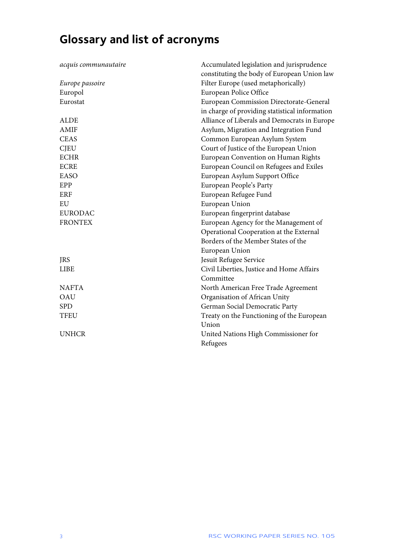# **Glossary and list of acronyms**

| acquis communautaire | Accumulated legislation and jurisprudence      |  |
|----------------------|------------------------------------------------|--|
|                      | constituting the body of European Union law    |  |
| Europe passoire      | Filter Europe (used metaphorically)            |  |
| Europol              | European Police Office                         |  |
| Eurostat             | European Commission Directorate-General        |  |
|                      | in charge of providing statistical information |  |
| <b>ALDE</b>          | Alliance of Liberals and Democrats in Europe   |  |
| <b>AMIF</b>          | Asylum, Migration and Integration Fund         |  |
| <b>CEAS</b>          | Common European Asylum System                  |  |
| <b>CJEU</b>          | Court of Justice of the European Union         |  |
| <b>ECHR</b>          | European Convention on Human Rights            |  |
| <b>ECRE</b>          | European Council on Refugees and Exiles        |  |
| <b>EASO</b>          | European Asylum Support Office                 |  |
| EPP                  | European People's Party                        |  |
| ERF                  | European Refugee Fund                          |  |
| EU                   | European Union                                 |  |
| <b>EURODAC</b>       | European fingerprint database                  |  |
| <b>FRONTEX</b>       | European Agency for the Management of          |  |
|                      | Operational Cooperation at the External        |  |
|                      | Borders of the Member States of the            |  |
|                      | European Union                                 |  |
| <b>JRS</b>           | Jesuit Refugee Service                         |  |
| <b>LIBE</b>          | Civil Liberties, Justice and Home Affairs      |  |
|                      | Committee                                      |  |
| <b>NAFTA</b>         | North American Free Trade Agreement            |  |
| OAU                  | Organisation of African Unity                  |  |
| <b>SPD</b>           | German Social Democratic Party                 |  |
| <b>TFEU</b>          | Treaty on the Functioning of the European      |  |
|                      | Union                                          |  |
| <b>UNHCR</b>         | United Nations High Commissioner for           |  |
|                      | Refugees                                       |  |
|                      |                                                |  |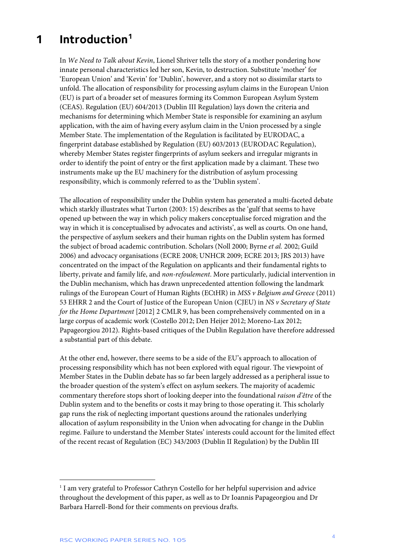## <span id="page-4-0"></span>**1 Introduction[1](#page-4-1)**

In *We Need to Talk about Kevin*, Lionel Shriver tells the story of a mother pondering how innate personal characteristics led her son, Kevin, to destruction. Substitute 'mother' for 'European Union' and 'Kevin' for 'Dublin', however, and a story not so dissimilar starts to unfold. The allocation of responsibility for processing asylum claims in the European Union (EU) is part of a broader set of measures forming its Common European Asylum System (CEAS). Regulation (EU) 604/2013 (Dublin III Regulation) lays down the criteria and mechanisms for determining which Member State is responsible for examining an asylum application, with the aim of having every asylum claim in the Union processed by a single Member State. The implementation of the Regulation is facilitated by EURODAC, a fingerprint database established by Regulation (EU) 603/2013 (EURODAC Regulation), whereby Member States register fingerprints of asylum seekers and irregular migrants in order to identify the point of entry or the first application made by a claimant. These two instruments make up the EU machinery for the distribution of asylum processing responsibility, which is commonly referred to as the 'Dublin system'.

The allocation of responsibility under the Dublin system has generated a multi-faceted debate which starkly illustrates what Turton (2003: 15) describes as the 'gulf that seems to have opened up between the way in which policy makers conceptualise forced migration and the way in which it is conceptualised by advocates and activists', as well as courts. On one hand, the perspective of asylum seekers and their human rights on the Dublin system has formed the subject of broad academic contribution. Scholars (Noll 2000; Byrne *et al.* 2002; Guild 2006) and advocacy organisations (ECRE 2008; UNHCR 2009; ECRE 2013; JRS 2013) have concentrated on the impact of the Regulation on applicants and their fundamental rights to liberty, private and family life, and *non-refoulement*. More particularly, judicial intervention in the Dublin mechanism, which has drawn unprecedented attention following the landmark rulings of the European Court of Human Rights (ECtHR) in *MSS v Belgium and Greece* (2011) 53 EHRR 2 and the Court of Justice of the European Union (CJEU) in *NS v Secretary of State for the Home Department* [2012] 2 CMLR 9, has been comprehensively commented on in a large corpus of academic work (Costello 2012; Den Heijer 2012; Moreno-Lax 2012; Papageorgiou 2012). Rights-based critiques of the Dublin Regulation have therefore addressed a substantial part of this debate.

At the other end, however, there seems to be a side of the EU's approach to allocation of processing responsibility which has not been explored with equal rigour. The viewpoint of Member States in the Dublin debate has so far been largely addressed as a peripheral issue to the broader question of the system's effect on asylum seekers. The majority of academic commentary therefore stops short of looking deeper into the foundational *raison d'être* of the Dublin system and to the benefits or costs it may bring to those operating it. This scholarly gap runs the risk of neglecting important questions around the rationales underlying allocation of asylum responsibility in the Union when advocating for change in the Dublin regime. Failure to understand the Member States' interests could account for the limited effect of the recent recast of Regulation (EC) 343/2003 (Dublin II Regulation) by the Dublin III

 $\overline{a}$ 

<span id="page-4-1"></span><sup>&</sup>lt;sup>1</sup> I am very grateful to Professor Cathryn Costello for her helpful supervision and advice throughout the development of this paper, as well as to Dr Ioannis Papageorgiou and Dr Barbara Harrell-Bond for their comments on previous drafts.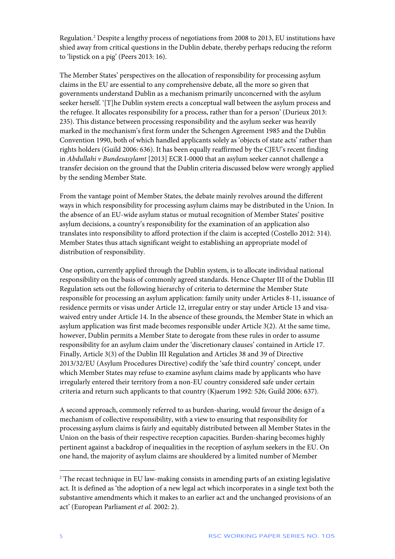Regulation.[2](#page-5-0) Despite a lengthy process of negotiations from 2008 to 2013, EU institutions have shied away from critical questions in the Dublin debate, thereby perhaps reducing the reform to 'lipstick on a pig' (Peers 2013: 16).

The Member States' perspectives on the allocation of responsibility for processing asylum claims in the EU are essential to any comprehensive debate, all the more so given that governments understand Dublin as a mechanism primarily unconcerned with the asylum seeker herself. '[T]he Dublin system erects a conceptual wall between the asylum process and the refugee. It allocates responsibility for a process, rather than for a person' (Durieux 2013: 235). This distance between processing responsibility and the asylum seeker was heavily marked in the mechanism's first form under the Schengen Agreement 1985 and the Dublin Convention 1990, both of which handled applicants solely as 'objects of state acts' rather than rights holders (Guild 2006: 636). It has been equally reaffirmed by the CJEU's recent finding in *Abdullahi v Bundesasylamt* [2013] ECR I-0000 that an asylum seeker cannot challenge a transfer decision on the ground that the Dublin criteria discussed below were wrongly applied by the sending Member State.

From the vantage point of Member States, the debate mainly revolves around the different ways in which responsibility for processing asylum claims may be distributed in the Union. In the absence of an EU-wide asylum status or mutual recognition of Member States' positive asylum decisions, a country's responsibility for the examination of an application also translates into responsibility to afford protection if the claim is accepted (Costello 2012: 314). Member States thus attach significant weight to establishing an appropriate model of distribution of responsibility.

One option, currently applied through the Dublin system, is to allocate individual national responsibility on the basis of commonly agreed standards. Hence Chapter III of the Dublin III Regulation sets out the following hierarchy of criteria to determine the Member State responsible for processing an asylum application: family unity under Articles 8-11, issuance of residence permits or visas under Article 12, irregular entry or stay under Article 13 and visawaived entry under Article 14. In the absence of these grounds, the Member State in which an asylum application was first made becomes responsible under Article 3(2). At the same time, however, Dublin permits a Member State to derogate from these rules in order to assume responsibility for an asylum claim under the 'discretionary clauses' contained in Article 17. Finally, Article 3(3) of the Dublin III Regulation and Articles 38 and 39 of Directive 2013/32/EU (Asylum Procedures Directive) codify the 'safe third country' concept, under which Member States may refuse to examine asylum claims made by applicants who have irregularly entered their territory from a non-EU country considered safe under certain criteria and return such applicants to that country (Kjaerum 1992: 526; Guild 2006: 637).

A second approach, commonly referred to as burden-sharing, would favour the design of a mechanism of collective responsibility, with a view to ensuring that responsibility for processing asylum claims is fairly and equitably distributed between all Member States in the Union on the basis of their respective reception capacities. Burden-sharing becomes highly pertinent against a backdrop of inequalities in the reception of asylum seekers in the EU. On one hand, the majority of asylum claims are shouldered by a limited number of Member

1

<span id="page-5-0"></span><sup>&</sup>lt;sup>2</sup> The recast technique in EU law-making consists in amending parts of an existing legislative act. It is defined as 'the adoption of a new legal act which incorporates in a single text both the substantive amendments which it makes to an earlier act and the unchanged provisions of an act' (European Parliament *et al.* 2002: 2).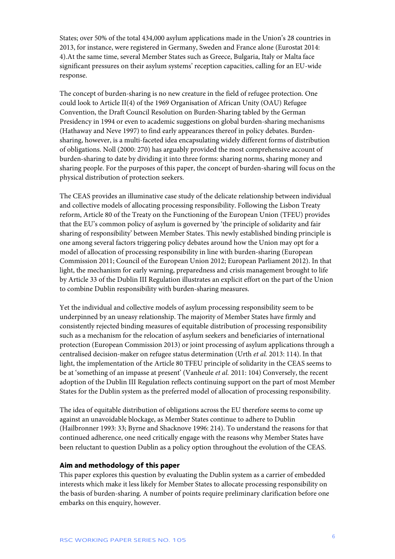States; over 50% of the total 434,000 asylum applications made in the Union's 28 countries in 2013, for instance, were registered in Germany, Sweden and France alone (Eurostat 2014: 4).At the same time, several Member States such as Greece, Bulgaria, Italy or Malta face significant pressures on their asylum systems' reception capacities, calling for an EU-wide response.

The concept of burden-sharing is no new creature in the field of refugee protection. One could look to Article II(4) of the 1969 Organisation of African Unity (OAU) Refugee Convention, the Draft Council Resolution on Burden-Sharing tabled by the German Presidency in 1994 or even to academic suggestions on global burden-sharing mechanisms (Hathaway and Neve 1997) to find early appearances thereof in policy debates. Burdensharing, however, is a multi-faceted idea encapsulating widely different forms of distribution of obligations. Noll (2000: 270) has arguably provided the most comprehensive account of burden-sharing to date by dividing it into three forms: sharing norms, sharing money and sharing people. For the purposes of this paper, the concept of burden-sharing will focus on the physical distribution of protection seekers.

The CEAS provides an illuminative case study of the delicate relationship between individual and collective models of allocating processing responsibility. Following the Lisbon Treaty reform, Article 80 of the Treaty on the Functioning of the European Union (TFEU) provides that the EU's common policy of asylum is governed by 'the principle of solidarity and fair sharing of responsibility' between Member States. This newly established binding principle is one among several factors triggering policy debates around how the Union may opt for a model of allocation of processing responsibility in line with burden-sharing (European Commission 2011; Council of the European Union 2012; European Parliament 2012). In that light, the mechanism for early warning, preparedness and crisis management brought to life by Article 33 of the Dublin III Regulation illustrates an explicit effort on the part of the Union to combine Dublin responsibility with burden-sharing measures.

Yet the individual and collective models of asylum processing responsibility seem to be underpinned by an uneasy relationship. The majority of Member States have firmly and consistently rejected binding measures of equitable distribution of processing responsibility such as a mechanism for the relocation of asylum seekers and beneficiaries of international protection (European Commission 2013) or joint processing of asylum applications through a centralised decision-maker on refugee status determination (Urth *et al.* 2013: 114). In that light, the implementation of the Article 80 TFEU principle of solidarity in the CEAS seems to be at 'something of an impasse at present' (Vanheule *et al.* 2011: 104) Conversely, the recent adoption of the Dublin III Regulation reflects continuing support on the part of most Member States for the Dublin system as the preferred model of allocation of processing responsibility.

The idea of equitable distribution of obligations across the EU therefore seems to come up against an unavoidable blockage, as Member States continue to adhere to Dublin (Hailbronner 1993: 33; Byrne and Shacknove 1996: 214). To understand the reasons for that continued adherence, one need critically engage with the reasons why Member States have been reluctant to question Dublin as a policy option throughout the evolution of the CEAS.

#### <span id="page-6-0"></span>**Aim and methodology of this paper**

This paper explores this question by evaluating the Dublin system as a carrier of embedded interests which make it less likely for Member States to allocate processing responsibility on the basis of burden-sharing. A number of points require preliminary clarification before one embarks on this enquiry, however.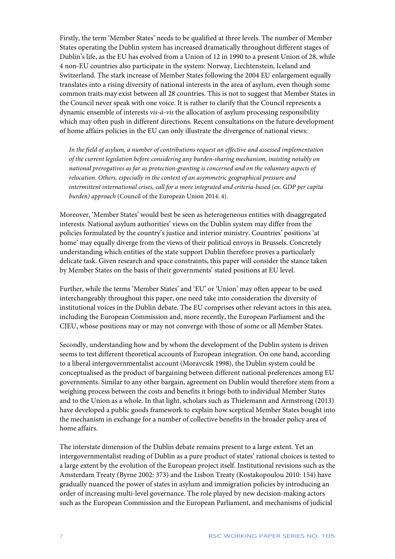Firstly, the term 'Member States' needs to be qualified at three levels. The number of Member States operating the Dublin system has increased dramatically throughout different stages of Dublin's life, as the EU has evolved from a Union of 12 in 1990 to a present Union of 28, while 4 non-EU countries also participate in the system: Norway, Liechtenstein, Iceland and Switzerland. The stark increase of Member States following the 2004 EU enlargement equally translates into a rising diversity of national interests in the area of asylum, even though some common traits may exist between all 28 countries. This is not to suggest that Member States in the Council never speak with one voice. It is rather to clarify that the Council represents a dynamic ensemble of interests *vis-à-vis* the allocation of asylum processing responsibility which may often push in different directions. Recent consultations on the future development of home affairs policies in the EU can only illustrate the divergence of national views:

*In the field of asylum, a number of contributions request an effective and assessed implementation of the current legislation before considering any burden-sharing mechanism, insisting notably on national prerogatives as far as protection-granting is concerned and on the voluntary aspects of relocation. Others, especially in the context of an asymmetric geographical pressure and intermittent international crises, call for a more integrated and criteria-based (ex. GDP per capita burden) approach* (Council of the European Union 2014: 4).

Moreover, 'Member States' would best be seen as heterogeneous entities with disaggregated interests. National asylum authorities' views on the Dublin system may differ from the policies formulated by the country's justice and interior ministry. Countries' positions 'at home' may equally diverge from the views of their political envoys in Brussels. Concretely understanding which entities of the state support Dublin therefore proves a particularly delicate task. Given research and space constraints, this paper will consider the stance taken by Member States on the basis of their governments' stated positions at EU level.

Further, while the terms 'Member States' and 'EU' or 'Union' may often appear to be used interchangeably throughout this paper, one need take into consideration the diversity of institutional voices in the Dublin debate. The EU comprises other relevant actors in this area, including the European Commission and, more recently, the European Parliament and the CJEU, whose positions may or may not converge with those of some or all Member States.

Secondly, understanding how and by whom the development of the Dublin system is driven seems to test different theoretical accounts of European integration. On one hand, according to a liberal intergovernmentalist account (Moravcsik 1998), the Dublin system could be conceptualised as the product of bargaining between different national preferences among EU governments. Similar to any other bargain, agreement on Dublin would therefore stem from a weighing process between the costs and benefits it brings both to individual Member States and to the Union as a whole. In that light, scholars such as Thielemann and Armstrong (2013) have developed a public goods framework to explain how sceptical Member States bought into the mechanism in exchange for a number of collective benefits in the broader policy area of home affairs.

The interstate dimension of the Dublin debate remains present to a large extent. Yet an intergovernmentalist reading of Dublin as a pure product of states' rational choices is tested to a large extent by the evolution of the European project itself. Institutional revisions such as the Amsterdam Treaty (Byrne 2002: 373) and the Lisbon Treaty (Kostakopoulou 2010: 154) have gradually nuanced the power of states in asylum and immigration policies by introducing an order of increasing multi-level governance. The role played by new decision-making actors such as the European Commission and the European Parliament, and mechanisms of judicial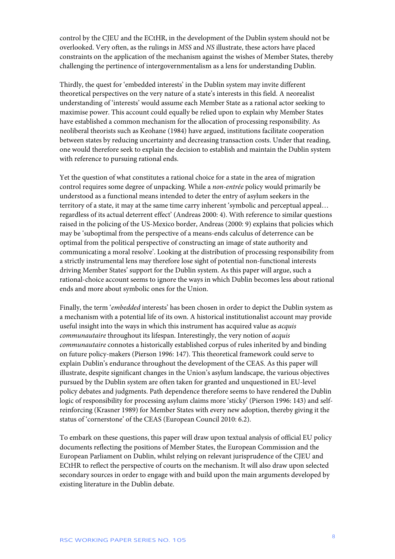control by the CJEU and the ECtHR, in the development of the Dublin system should not be overlooked. Very often, as the rulings in *MSS* and *NS* illustrate, these actors have placed constraints on the application of the mechanism against the wishes of Member States, thereby challenging the pertinence of intergovernmentalism as a lens for understanding Dublin.

Thirdly, the quest for 'embedded interests' in the Dublin system may invite different theoretical perspectives on the very nature of a state's interests in this field. A neorealist understanding of 'interests' would assume each Member State as a rational actor seeking to maximise power. This account could equally be relied upon to explain why Member States have established a common mechanism for the allocation of processing responsibility. As neoliberal theorists such as Keohane (1984) have argued, institutions facilitate cooperation between states by reducing uncertainty and decreasing transaction costs. Under that reading, one would therefore seek to explain the decision to establish and maintain the Dublin system with reference to pursuing rational ends.

Yet the question of what constitutes a rational choice for a state in the area of migration control requires some degree of unpacking. While a *non-entrée* policy would primarily be understood as a functional means intended to deter the entry of asylum seekers in the territory of a state, it may at the same time carry inherent 'symbolic and perceptual appeal… regardless of its actual deterrent effect' (Andreas 2000: 4). With reference to similar questions raised in the policing of the US-Mexico border, Andreas (2000: 9) explains that policies which may be 'suboptimal from the perspective of a means-ends calculus of deterrence can be optimal from the political perspective of constructing an image of state authority and communicating a moral resolve'. Looking at the distribution of processing responsibility from a strictly instrumental lens may therefore lose sight of potential non-functional interests driving Member States' support for the Dublin system. As this paper will argue, such a rational-choice account seems to ignore the ways in which Dublin becomes less about rational ends and more about symbolic ones for the Union.

Finally, the term '*embedded* interests' has been chosen in order to depict the Dublin system as a mechanism with a potential life of its own. A historical institutionalist account may provide useful insight into the ways in which this instrument has acquired value as *acquis communautaire* throughout its lifespan. Interestingly, the very notion of *acquis communautaire* connotes a historically established corpus of rules inherited by and binding on future policy-makers (Pierson 1996: 147). This theoretical framework could serve to explain Dublin's endurance throughout the development of the CEAS. As this paper will illustrate, despite significant changes in the Union's asylum landscape, the various objectives pursued by the Dublin system are often taken for granted and unquestioned in EU-level policy debates and judgments. Path dependence therefore seems to have rendered the Dublin logic of responsibility for processing asylum claims more 'sticky' (Pierson 1996: 143) and selfreinforcing (Krasner 1989) for Member States with every new adoption, thereby giving it the status of 'cornerstone' of the CEAS (European Council 2010: 6.2).

To embark on these questions, this paper will draw upon textual analysis of official EU policy documents reflecting the positions of Member States, the European Commission and the European Parliament on Dublin, whilst relying on relevant jurisprudence of the CJEU and ECtHR to reflect the perspective of courts on the mechanism. It will also draw upon selected secondary sources in order to engage with and build upon the main arguments developed by existing literature in the Dublin debate.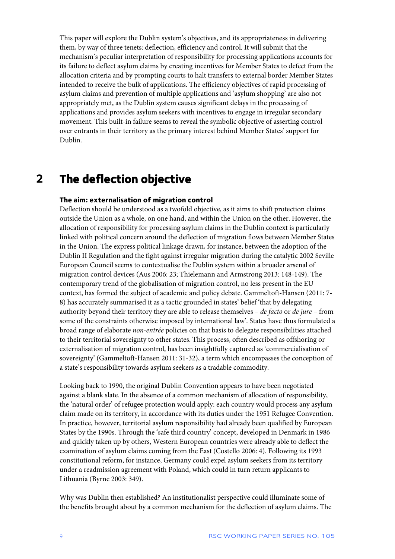This paper will explore the Dublin system's objectives, and its appropriateness in delivering them, by way of three tenets: deflection, efficiency and control. It will submit that the mechanism's peculiar interpretation of responsibility for processing applications accounts for its failure to deflect asylum claims by creating incentives for Member States to defect from the allocation criteria and by prompting courts to halt transfers to external border Member States intended to receive the bulk of applications. The efficiency objectives of rapid processing of asylum claims and prevention of multiple applications and 'asylum shopping' are also not appropriately met, as the Dublin system causes significant delays in the processing of applications and provides asylum seekers with incentives to engage in irregular secondary movement. This built-in failure seems to reveal the symbolic objective of asserting control over entrants in their territory as the primary interest behind Member States' support for Dublin.

### <span id="page-9-0"></span>**2 The deflection objective**

### <span id="page-9-1"></span>**The aim: externalisation of migration control**

Deflection should be understood as a twofold objective, as it aims to shift protection claims outside the Union as a whole, on one hand, and within the Union on the other. However, the allocation of responsibility for processing asylum claims in the Dublin context is particularly linked with political concern around the deflection of migration flows between Member States in the Union. The express political linkage drawn, for instance, between the adoption of the Dublin II Regulation and the fight against irregular migration during the catalytic 2002 Seville European Council seems to contextualise the Dublin system within a broader arsenal of migration control devices (Aus 2006: 23; Thielemann and Armstrong 2013: 148-149). The contemporary trend of the globalisation of migration control, no less present in the EU context, has formed the subject of academic and policy debate. Gammeltoft-Hansen (2011: 7- 8) has accurately summarised it as a tactic grounded in states' belief 'that by delegating authority beyond their territory they are able to release themselves – *de facto* or *de jure* – from some of the constraints otherwise imposed by international law'. States have thus formulated a broad range of elaborate *non-entrée* policies on that basis to delegate responsibilities attached to their territorial sovereignty to other states. This process, often described as offshoring or externalisation of migration control, has been insightfully captured as 'commercialisation of sovereignty' (Gammeltoft-Hansen 2011: 31-32), a term which encompasses the conception of a state's responsibility towards asylum seekers as a tradable commodity.

Looking back to 1990, the original Dublin Convention appears to have been negotiated against a blank slate. In the absence of a common mechanism of allocation of responsibility, the 'natural order' of refugee protection would apply: each country would process any asylum claim made on its territory, in accordance with its duties under the 1951 Refugee Convention. In practice, however, territorial asylum responsibility had already been qualified by European States by the 1990s. Through the 'safe third country' concept, developed in Denmark in 1986 and quickly taken up by others, Western European countries were already able to deflect the examination of asylum claims coming from the East (Costello 2006: 4). Following its 1993 constitutional reform, for instance, Germany could expel asylum seekers from its territory under a readmission agreement with Poland, which could in turn return applicants to Lithuania (Byrne 2003: 349).

Why was Dublin then established? An institutionalist perspective could illuminate some of the benefits brought about by a common mechanism for the deflection of asylum claims. The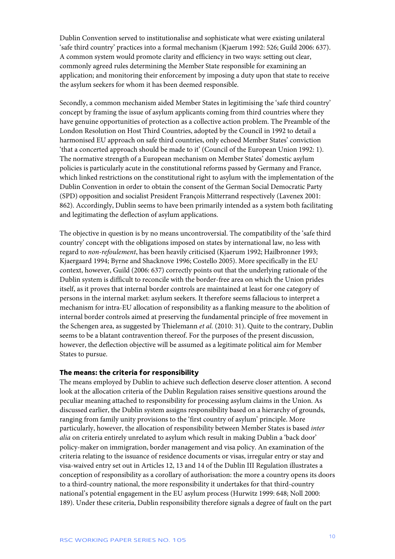Dublin Convention served to institutionalise and sophisticate what were existing unilateral 'safe third country' practices into a formal mechanism (Kjaerum 1992: 526; Guild 2006: 637). A common system would promote clarity and efficiency in two ways: setting out clear, commonly agreed rules determining the Member State responsible for examining an application; and monitoring their enforcement by imposing a duty upon that state to receive the asylum seekers for whom it has been deemed responsible.

Secondly, a common mechanism aided Member States in legitimising the 'safe third country' concept by framing the issue of asylum applicants coming from third countries where they have genuine opportunities of protection as a collective action problem. The Preamble of the London Resolution on Host Third Countries, adopted by the Council in 1992 to detail a harmonised EU approach on safe third countries, only echoed Member States' conviction 'that a concerted approach should be made to it' (Council of the European Union 1992: 1). The normative strength of a European mechanism on Member States' domestic asylum policies is particularly acute in the constitutional reforms passed by Germany and France, which linked restrictions on the constitutional right to asylum with the implementation of the Dublin Convention in order to obtain the consent of the German Social Democratic Party (SPD) opposition and socialist President François Mitterrand respectively (Lavenex 2001: 862). Accordingly, Dublin seems to have been primarily intended as a system both facilitating and legitimating the deflection of asylum applications.

The objective in question is by no means uncontroversial. The compatibility of the 'safe third country' concept with the obligations imposed on states by international law, no less with regard to *non-refoulement*, has been heavily criticised (Kjaerum 1992; Hailbronner 1993; Kjaergaard 1994; Byrne and Shacknove 1996; Costello 2005). More specifically in the EU context, however, Guild (2006: 637) correctly points out that the underlying rationale of the Dublin system is difficult to reconcile with the border-free area on which the Union prides itself, as it proves that internal border controls are maintained at least for one category of persons in the internal market: asylum seekers. It therefore seems fallacious to interpret a mechanism for intra-EU allocation of responsibility as a flanking measure to the abolition of internal border controls aimed at preserving the fundamental principle of free movement in the Schengen area, as suggested by Thielemann *et al.* (2010: 31). Quite to the contrary, Dublin seems to be a blatant contravention thereof. For the purposes of the present discussion, however, the deflection objective will be assumed as a legitimate political aim for Member States to pursue.

#### <span id="page-10-0"></span>**The means: the criteria for responsibility**

The means employed by Dublin to achieve such deflection deserve closer attention. A second look at the allocation criteria of the Dublin Regulation raises sensitive questions around the peculiar meaning attached to responsibility for processing asylum claims in the Union. As discussed earlier, the Dublin system assigns responsibility based on a hierarchy of grounds, ranging from family unity provisions to the 'first country of asylum' principle. More particularly, however, the allocation of responsibility between Member States is based *inter alia* on criteria entirely unrelated to asylum which result in making Dublin a 'back door' policy-maker on immigration, border management and visa policy. An examination of the criteria relating to the issuance of residence documents or visas, irregular entry or stay and visa-waived entry set out in Articles 12, 13 and 14 of the Dublin III Regulation illustrates a conception of responsibility as a corollary of authorisation: the more a country opens its doors to a third-country national, the more responsibility it undertakes for that third-country national's potential engagement in the EU asylum process (Hurwitz 1999: 648; Noll 2000: 189). Under these criteria, Dublin responsibility therefore signals a degree of fault on the part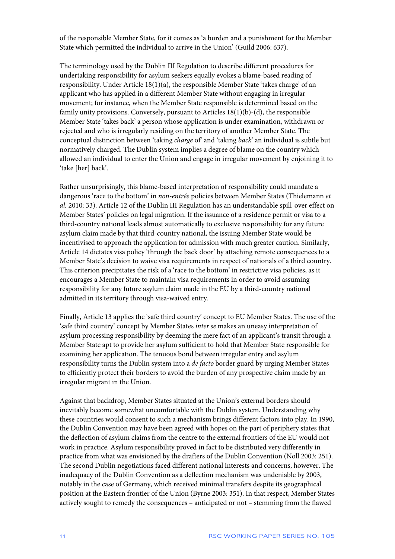of the responsible Member State, for it comes as 'a burden and a punishment for the Member State which permitted the individual to arrive in the Union' (Guild 2006: 637).

The terminology used by the Dublin III Regulation to describe different procedures for undertaking responsibility for asylum seekers equally evokes a blame-based reading of responsibility. Under Article 18(1)(a), the responsible Member State 'takes charge' of an applicant who has applied in a different Member State without engaging in irregular movement; for instance, when the Member State responsible is determined based on the family unity provisions. Conversely, pursuant to Articles 18(1)(b)-(d), the responsible Member State 'takes back' a person whose application is under examination, withdrawn or rejected and who is irregularly residing on the territory of another Member State. The conceptual distinction between 'taking *charge* of' and 'taking *back*' an individual is subtle but normatively charged. The Dublin system implies a degree of blame on the country which allowed an individual to enter the Union and engage in irregular movement by enjoining it to 'take [her] back'.

Rather unsurprisingly, this blame-based interpretation of responsibility could mandate a dangerous 'race to the bottom' in *non-entrée* policies between Member States (Thielemann *et al.* 2010: 33). Article 12 of the Dublin III Regulation has an understandable spill-over effect on Member States' policies on legal migration. If the issuance of a residence permit or visa to a third-country national leads almost automatically to exclusive responsibility for any future asylum claim made by that third-country national, the issuing Member State would be incentivised to approach the application for admission with much greater caution. Similarly, Article 14 dictates visa policy 'through the back door' by attaching remote consequences to a Member State's decision to waive visa requirements in respect of nationals of a third country. This criterion precipitates the risk of a 'race to the bottom' in restrictive visa policies, as it encourages a Member State to maintain visa requirements in order to avoid assuming responsibility for any future asylum claim made in the EU by a third-country national admitted in its territory through visa-waived entry.

Finally, Article 13 applies the 'safe third country' concept to EU Member States. The use of the 'safe third country' concept by Member States *inter se* makes an uneasy interpretation of asylum processing responsibility by deeming the mere fact of an applicant's transit through a Member State apt to provide her asylum sufficient to hold that Member State responsible for examining her application. The tenuous bond between irregular entry and asylum responsibility turns the Dublin system into a *de facto* border guard by urging Member States to efficiently protect their borders to avoid the burden of any prospective claim made by an irregular migrant in the Union.

Against that backdrop, Member States situated at the Union's external borders should inevitably become somewhat uncomfortable with the Dublin system. Understanding why these countries would consent to such a mechanism brings different factors into play. In 1990, the Dublin Convention may have been agreed with hopes on the part of periphery states that the deflection of asylum claims from the centre to the external frontiers of the EU would not work in practice. Asylum responsibility proved in fact to be distributed very differently in practice from what was envisioned by the drafters of the Dublin Convention (Noll 2003: 251). The second Dublin negotiations faced different national interests and concerns, however. The inadequacy of the Dublin Convention as a deflection mechanism was undeniable by 2003, notably in the case of Germany, which received minimal transfers despite its geographical position at the Eastern frontier of the Union (Byrne 2003: 351). In that respect, Member States actively sought to remedy the consequences – anticipated or not – stemming from the flawed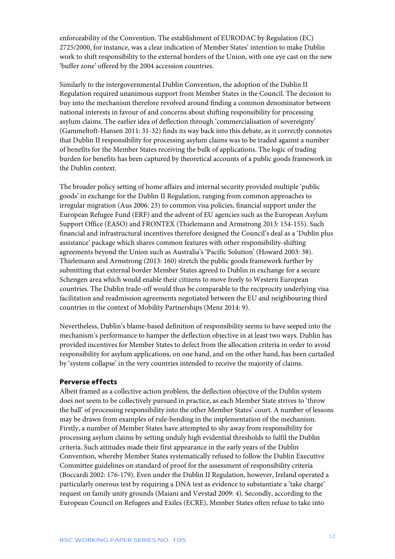enforceability of the Convention. The establishment of EURODAC by Regulation (EC) 2725/2000, for instance, was a clear indication of Member States' intention to make Dublin work to shift responsibility to the external borders of the Union, with one eye cast on the new 'buffer zone' offered by the 2004 accession countries.

Similarly to the intergovernmental Dublin Convention, the adoption of the Dublin II Regulation required unanimous support from Member States in the Council. The decision to buy into the mechanism therefore revolved around finding a common denominator between national interests in favour of and concerns about shifting responsibility for processing asylum claims. The earlier idea of deflection through 'commercialisation of sovereignty' (Gammeltoft-Hansen 2011: 31-32) finds its way back into this debate, as it correctly connotes that Dublin II responsibility for processing asylum claims was to be traded against a number of benefits for the Member States receiving the bulk of applications. The logic of trading burden for benefits has been captured by theoretical accounts of a public goods framework in the Dublin context.

The broader policy setting of home affairs and internal security provided multiple 'public goods' in exchange for the Dublin II Regulation, ranging from common approaches to irregular migration (Aus 2006: 23) to common visa policies, financial support under the European Refugee Fund (ERF) and the advent of EU agencies such as the European Asylum Support Office (EASO) and FRONTEX (Thielemann and Armstrong 2013: 154-155). Such financial and infrastructural incentives therefore designed the Council's deal as a 'Dublin plus assistance' package which shares common features with other responsibility-shifting agreements beyond the Union such as Australia's 'Pacific Solution' (Howard 2003: 38). Thielemann and Armstrong (2013: 160) stretch the public goods framework further by submitting that external border Member States agreed to Dublin in exchange for a secure Schengen area which would enable their citizens to move freely to Western European countries. The Dublin trade-off would thus be comparable to the reciprocity underlying visa facilitation and readmission agreements negotiated between the EU and neighbouring third countries in the context of Mobility Partnerships (Menz 2014: 9).

Nevertheless, Dublin's blame-based definition of responsibility seems to have seeped into the mechanism's performance to hamper the deflection objective in at least two ways. Dublin has provided incentives for Member States to defect from the allocation criteria in order to avoid responsibility for asylum applications, on one hand, and on the other hand, has been curtailed by 'system collapse' in the very countries intended to receive the majority of claims.

### <span id="page-12-0"></span>**Perverse effects**

Albeit framed as a collective action problem, the deflection objective of the Dublin system does not seem to be collectively pursued in practice, as each Member State strives to 'throw the ball' of processing responsibility into the other Member States' court. A number of lessons may be drawn from examples of rule-bending in the implementation of the mechanism. Firstly, a number of Member States have attempted to shy away from responsibility for processing asylum claims by setting unduly high evidential thresholds to fulfil the Dublin criteria. Such attitudes made their first appearance in the early years of the Dublin Convention, whereby Member States systematically refused to follow the Dublin Executive Committee guidelines on standard of proof for the assessment of responsibility criteria (Boccardi 2002: 176-179). Even under the Dublin II Regulation, however, Ireland operated a particularly onerous test by requiring a DNA test as evidence to substantiate a 'take charge' request on family unity grounds (Maiani and Vevstad 2009: 4). Secondly, according to the European Council on Refugees and Exiles (ECRE), Member States often refuse to take into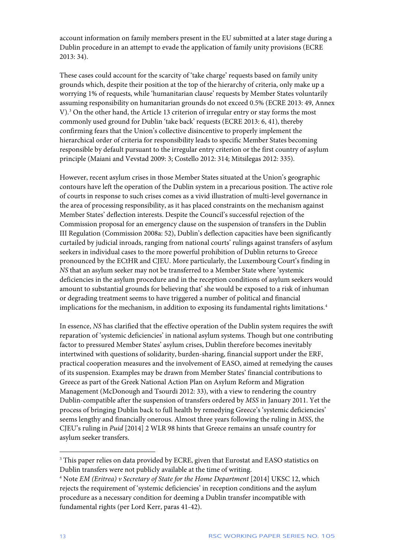account information on family members present in the EU submitted at a later stage during a Dublin procedure in an attempt to evade the application of family unity provisions (ECRE 2013: 34).

These cases could account for the scarcity of 'take charge' requests based on family unity grounds which, despite their position at the top of the hierarchy of criteria, only make up a worrying 1% of requests, while 'humanitarian clause' requests by Member States voluntarily assuming responsibility on humanitarian grounds do not exceed 0.5% (ECRE 2013: 49, Annex V)[.3](#page-13-0) On the other hand, the Article 13 criterion of irregular entry or stay forms the most commonly used ground for Dublin 'take back' requests (ECRE 2013: 6, 41), thereby confirming fears that the Union's collective disincentive to properly implement the hierarchical order of criteria for responsibility leads to specific Member States becoming responsible by default pursuant to the irregular entry criterion or the first country of asylum principle (Maiani and Vevstad 2009: 3; Costello 2012: 314; Mitsilegas 2012: 335).

However, recent asylum crises in those Member States situated at the Union's geographic contours have left the operation of the Dublin system in a precarious position. The active role of courts in response to such crises comes as a vivid illustration of multi-level governance in the area of processing responsibility, as it has placed constraints on the mechanism against Member States' deflection interests. Despite the Council's successful rejection of the Commission proposal for an emergency clause on the suspension of transfers in the Dublin III Regulation (Commission 2008a: 52), Dublin's deflection capacities have been significantly curtailed by judicial inroads, ranging from national courts' rulings against transfers of asylum seekers in individual cases to the more powerful prohibition of Dublin returns to Greece pronounced by the ECtHR and CJEU. More particularly, the Luxembourg Court's finding in *NS* that an asylum seeker may not be transferred to a Member State where 'systemic deficiencies in the asylum procedure and in the reception conditions of asylum seekers would amount to substantial grounds for believing that' she would be exposed to a risk of inhuman or degrading treatment seems to have triggered a number of political and financial implications for the mechanism, in addition to exposing its fundamental rights limitations.<sup>[4](#page-13-1)</sup>

In essence, *NS* has clarified that the effective operation of the Dublin system requires the swift reparation of 'systemic deficiencies' in national asylum systems. Though but one contributing factor to pressured Member States' asylum crises, Dublin therefore becomes inevitably intertwined with questions of solidarity, burden-sharing, financial support under the ERF, practical cooperation measures and the involvement of EASO, aimed at remedying the causes of its suspension. Examples may be drawn from Member States' financial contributions to Greece as part of the Greek National Action Plan on Asylum Reform and Migration Management (McDonough and Tsourdi 2012: 33), with a view to rendering the country Dublin-compatible after the suspension of transfers ordered by *MSS* in January 2011. Yet the process of bringing Dublin back to full health by remedying Greece's 'systemic deficiencies' seems lengthy and financially onerous. Almost three years following the ruling in *MSS*, the CJEU's ruling in *Puid* [2014] 2 WLR 98 hints that Greece remains an unsafe country for asylum seeker transfers.

 $\overline{a}$ 

<span id="page-13-0"></span><sup>&</sup>lt;sup>3</sup> This paper relies on data provided by ECRE, given that Eurostat and EASO statistics on Dublin transfers were not publicly available at the time of writing.

<span id="page-13-1"></span><sup>4</sup> Note *EM (Eritrea) v Secretary of State for the Home Department* [2014] UKSC 12, which rejects the requirement of 'systemic deficiencies' in reception conditions and the asylum procedure as a necessary condition for deeming a Dublin transfer incompatible with fundamental rights (per Lord Kerr, paras 41-42).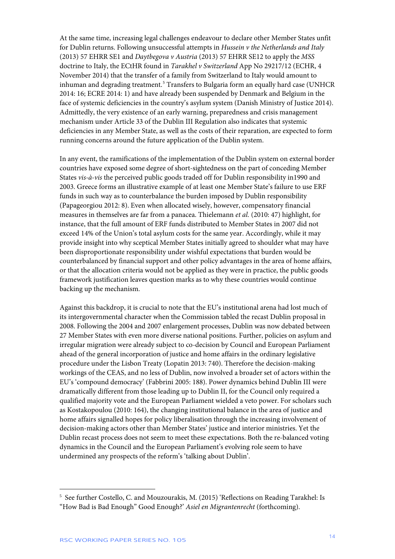At the same time, increasing legal challenges endeavour to declare other Member States unfit for Dublin returns. Following unsuccessful attempts in *Hussein v the Netherlands and Italy*  (2013) 57 EHRR SE1 and *Daytbegova v Austria* (2013) 57 EHRR SE12 to apply the *MSS*  doctrine to Italy, the ECtHR found in *Tarakhel v Switzerland* App No 29217/12 (ECHR, 4 November 2014) that the transfer of a family from Switzerland to Italy would amount to inhuman and degrading treatment.<sup>[5](#page-14-0)</sup> Transfers to Bulgaria form an equally hard case (UNHCR 2014: 16; ECRE 2014: 1) and have already been suspended by Denmark and Belgium in the face of systemic deficiencies in the country's asylum system (Danish Ministry of Justice 2014). Admittedly, the very existence of an early warning, preparedness and crisis management mechanism under Article 33 of the Dublin III Regulation also indicates that systemic deficiencies in any Member State, as well as the costs of their reparation, are expected to form running concerns around the future application of the Dublin system.

In any event, the ramifications of the implementation of the Dublin system on external border countries have exposed some degree of short-sightedness on the part of conceding Member States *vis-à-vis* the perceived public goods traded off for Dublin responsibility in1990 and 2003. Greece forms an illustrative example of at least one Member State's failure to use ERF funds in such way as to counterbalance the burden imposed by Dublin responsibility (Papageorgiou 2012: 8). Even when allocated wisely, however, compensatory financial measures in themselves are far from a panacea. Thielemann *et al.* (2010: 47) highlight, for instance, that the full amount of ERF funds distributed to Member States in 2007 did not exceed 14% of the Union's total asylum costs for the same year. Accordingly, while it may provide insight into why sceptical Member States initially agreed to shoulder what may have been disproportionate responsibility under wishful expectations that burden would be counterbalanced by financial support and other policy advantages in the area of home affairs, or that the allocation criteria would not be applied as they were in practice, the public goods framework justification leaves question marks as to why these countries would continue backing up the mechanism.

Against this backdrop, it is crucial to note that the EU's institutional arena had lost much of its intergovernmental character when the Commission tabled the recast Dublin proposal in 2008. Following the 2004 and 2007 enlargement processes, Dublin was now debated between 27 Member States with even more diverse national positions. Further, policies on asylum and irregular migration were already subject to co-decision by Council and European Parliament ahead of the general incorporation of justice and home affairs in the ordinary legislative procedure under the Lisbon Treaty (Lopatin 2013: 740). Therefore the decision-making workings of the CEAS, and no less of Dublin, now involved a broader set of actors within the EU's 'compound democracy' (Fabbrini 2005: 188). Power dynamics behind Dublin III were dramatically different from those leading up to Dublin II, for the Council only required a qualified majority vote and the European Parliament wielded a veto power. For scholars such as Kostakopoulou (2010: 164), the changing institutional balance in the area of justice and home affairs signalled hopes for policy liberalisation through the increasing involvement of decision-making actors other than Member States' justice and interior ministries. Yet the Dublin recast process does not seem to meet these expectations. Both the re-balanced voting dynamics in the Council and the European Parliament's evolving role seem to have undermined any prospects of the reform's 'talking about Dublin'.

1

<span id="page-14-0"></span><sup>5</sup> See further Costello, C. and Mouzourakis, M. (2015) 'Reflections on Reading Tarakhel: Is "How Bad is Bad Enough" Good Enough?' *Asiel en Migrantenrecht* (forthcoming).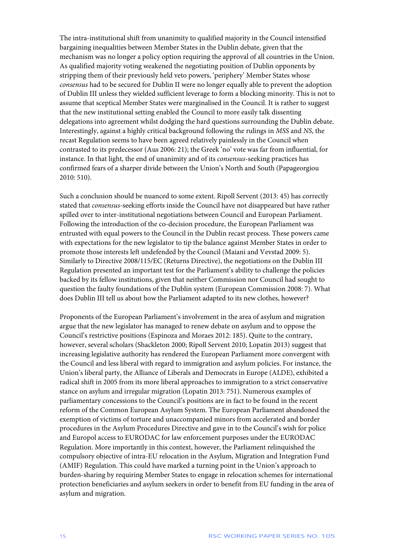The intra-institutional shift from unanimity to qualified majority in the Council intensified bargaining inequalities between Member States in the Dublin debate, given that the mechanism was no longer a policy option requiring the approval of all countries in the Union. As qualified majority voting weakened the negotiating position of Dublin opponents by stripping them of their previously held veto powers, 'periphery' Member States whose *consensus* had to be secured for Dublin II were no longer equally able to prevent the adoption of Dublin III unless they wielded sufficient leverage to form a blocking minority. This is not to assume that sceptical Member States were marginalised in the Council. It is rather to suggest that the new institutional setting enabled the Council to more easily talk dissenting delegations into agreement whilst dodging the hard questions surrounding the Dublin debate. Interestingly, against a highly critical background following the rulings in *MSS* and *NS*, the recast Regulation seems to have been agreed relatively painlessly in the Council when contrasted to its predecessor (Aus 2006: 21); the Greek 'no' vote was far from influential, for instance. In that light, the end of unanimity and of its *consensus*-seeking practices has confirmed fears of a sharper divide between the Union's North and South (Papageorgiou 2010: 510).

Such a conclusion should be nuanced to some extent. Ripoll Servent (2013: 45) has correctly stated that *consensus*-seeking efforts inside the Council have not disappeared but have rather spilled over to inter-institutional negotiations between Council and European Parliament. Following the introduction of the co-decision procedure, the European Parliament was entrusted with equal powers to the Council in the Dublin recast process. These powers came with expectations for the new legislator to tip the balance against Member States in order to promote those interests left undefended by the Council (Maiani and Vevstad 2009: 5). Similarly to Directive 2008/115/EC (Returns Directive), the negotiations on the Dublin III Regulation presented an important test for the Parliament's ability to challenge the policies backed by its fellow institutions, given that neither Commission nor Council had sought to question the faulty foundations of the Dublin system (European Commission 2008: 7). What does Dublin III tell us about how the Parliament adapted to its new clothes, however?

Proponents of the European Parliament's involvement in the area of asylum and migration argue that the new legislator has managed to renew debate on asylum and to oppose the Council's restrictive positions (Espinoza and Moraes 2012: 185). Quite to the contrary, however, several scholars (Shackleton 2000; Ripoll Servent 2010; Lopatin 2013) suggest that increasing legislative authority has rendered the European Parliament more convergent with the Council and less liberal with regard to immigration and asylum policies. For instance, the Union's liberal party, the Alliance of Liberals and Democrats in Europe (ALDE), exhibited a radical shift in 2005 from its more liberal approaches to immigration to a strict conservative stance on asylum and irregular migration (Lopatin 2013: 751). Numerous examples of parliamentary concessions to the Council's positions are in fact to be found in the recent reform of the Common European Asylum System. The European Parliament abandoned the exemption of victims of torture and unaccompanied minors from accelerated and border procedures in the Asylum Procedures Directive and gave in to the Council's wish for police and Europol access to EURODAC for law enforcement purposes under the EURODAC Regulation. More importantly in this context, however, the Parliament relinquished the compulsory objective of intra-EU relocation in the Asylum, Migration and Integration Fund (AMIF) Regulation. This could have marked a turning point in the Union's approach to burden-sharing by requiring Member States to engage in relocation schemes for international protection beneficiaries and asylum seekers in order to benefit from EU funding in the area of asylum and migration.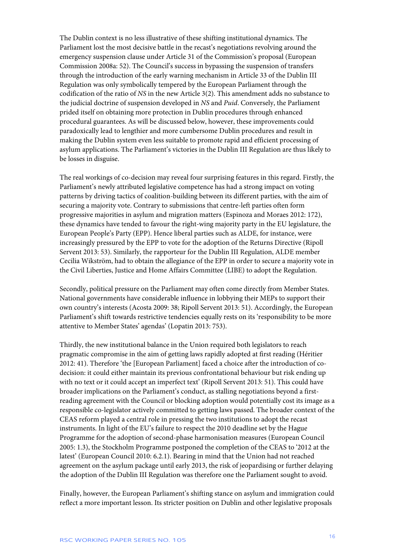The Dublin context is no less illustrative of these shifting institutional dynamics. The Parliament lost the most decisive battle in the recast's negotiations revolving around the emergency suspension clause under Article 31 of the Commission's proposal (European Commission 2008a: 52). The Council's success in bypassing the suspension of transfers through the introduction of the early warning mechanism in Article 33 of the Dublin III Regulation was only symbolically tempered by the European Parliament through the codification of the ratio of *NS* in the new Article 3(2). This amendment adds no substance to the judicial doctrine of suspension developed in *NS* and *Puid*. Conversely, the Parliament prided itself on obtaining more protection in Dublin procedures through enhanced procedural guarantees. As will be discussed below, however, these improvements could paradoxically lead to lengthier and more cumbersome Dublin procedures and result in making the Dublin system even less suitable to promote rapid and efficient processing of asylum applications. The Parliament's victories in the Dublin III Regulation are thus likely to be losses in disguise.

The real workings of co-decision may reveal four surprising features in this regard. Firstly, the Parliament's newly attributed legislative competence has had a strong impact on voting patterns by driving tactics of coalition-building between its different parties, with the aim of securing a majority vote. Contrary to submissions that centre-left parties often form progressive majorities in asylum and migration matters (Espinoza and Moraes 2012: 172), these dynamics have tended to favour the right-wing majority party in the EU legislature, the European People's Party (EPP). Hence liberal parties such as ALDE, for instance, were increasingly pressured by the EPP to vote for the adoption of the Returns Directive (Ripoll Servent 2013: 53). Similarly, the rapporteur for the Dublin III Regulation, ALDE member Cecilia Wikström, had to obtain the allegiance of the EPP in order to secure a majority vote in the Civil Liberties, Justice and Home Affairs Committee (LIBE) to adopt the Regulation.

Secondly, political pressure on the Parliament may often come directly from Member States. National governments have considerable influence in lobbying their MEPs to support their own country's interests (Acosta 2009: 38; Ripoll Servent 2013: 51). Accordingly, the European Parliament's shift towards restrictive tendencies equally rests on its 'responsibility to be more attentive to Member States' agendas' (Lopatin 2013: 753).

Thirdly, the new institutional balance in the Union required both legislators to reach pragmatic compromise in the aim of getting laws rapidly adopted at first reading (Héritier 2012: 41). Therefore 'the [European Parliament] faced a choice after the introduction of codecision: it could either maintain its previous confrontational behaviour but risk ending up with no text or it could accept an imperfect text' (Ripoll Servent 2013: 51). This could have broader implications on the Parliament's conduct, as stalling negotiations beyond a firstreading agreement with the Council or blocking adoption would potentially cost its image as a responsible co-legislator actively committed to getting laws passed. The broader context of the CEAS reform played a central role in pressing the two institutions to adopt the recast instruments. In light of the EU's failure to respect the 2010 deadline set by the Hague Programme for the adoption of second-phase harmonisation measures (European Council 2005: 1.3), the Stockholm Programme postponed the completion of the CEAS to '2012 at the latest' (European Council 2010: 6.2.1). Bearing in mind that the Union had not reached agreement on the asylum package until early 2013, the risk of jeopardising or further delaying the adoption of the Dublin III Regulation was therefore one the Parliament sought to avoid.

Finally, however, the European Parliament's shifting stance on asylum and immigration could reflect a more important lesson. Its stricter position on Dublin and other legislative proposals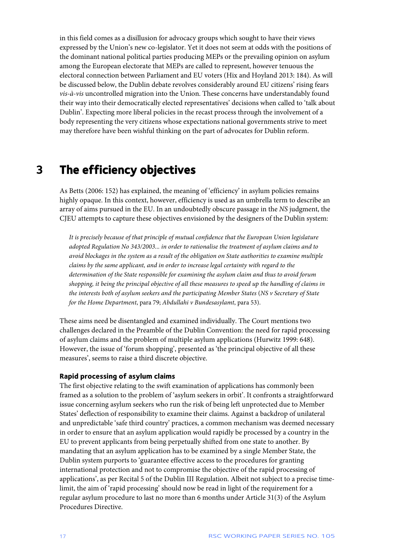in this field comes as a disillusion for advocacy groups which sought to have their views expressed by the Union's new co-legislator. Yet it does not seem at odds with the positions of the dominant national political parties producing MEPs or the prevailing opinion on asylum among the European electorate that MEPs are called to represent, however tenuous the electoral connection between Parliament and EU voters (Hix and Hoyland 2013: 184). As will be discussed below, the Dublin debate revolves considerably around EU citizens' rising fears *vis-à-vis* uncontrolled migration into the Union. These concerns have understandably found their way into their democratically elected representatives' decisions when called to 'talk about Dublin'. Expecting more liberal policies in the recast process through the involvement of a body representing the very citizens whose expectations national governments strive to meet may therefore have been wishful thinking on the part of advocates for Dublin reform.

### <span id="page-17-0"></span>**3 The efficiency objectives**

As Betts (2006: 152) has explained, the meaning of 'efficiency' in asylum policies remains highly opaque. In this context, however, efficiency is used as an umbrella term to describe an array of aims pursued in the EU. In an undoubtedly obscure passage in the *NS* judgment, the CJEU attempts to capture these objectives envisioned by the designers of the Dublin system:

*It is precisely because of that principle of mutual confidence that the European Union legislature adopted Regulation No 343/2003... in order to rationalise the treatment of asylum claims and to avoid blockages in the system as a result of the obligation on State authorities to examine multiple claims by the same applicant, and in order to increase legal certainty with regard to the determination of the State responsible for examining the asylum claim and thus to avoid forum shopping, it being the principal objective of all these measures to speed up the handling of claims in the interests both of asylum seekers and the participating Member States* (*NS v Secretary of State for the Home Department*, para 79; *Abdullahi v Bundesasylamt*, para 53).

These aims need be disentangled and examined individually. The Court mentions two challenges declared in the Preamble of the Dublin Convention: the need for rapid processing of asylum claims and the problem of multiple asylum applications (Hurwitz 1999: 648). However, the issue of 'forum shopping', presented as 'the principal objective of all these measures', seems to raise a third discrete objective.

### <span id="page-17-1"></span>**Rapid processing of asylum claims**

The first objective relating to the swift examination of applications has commonly been framed as a solution to the problem of 'asylum seekers in orbit'. It confronts a straightforward issue concerning asylum seekers who run the risk of being left unprotected due to Member States' deflection of responsibility to examine their claims. Against a backdrop of unilateral and unpredictable 'safe third country' practices, a common mechanism was deemed necessary in order to ensure that an asylum application would rapidly be processed by a country in the EU to prevent applicants from being perpetually shifted from one state to another. By mandating that an asylum application has to be examined by a single Member State, the Dublin system purports to 'guarantee effective access to the procedures for granting international protection and not to compromise the objective of the rapid processing of applications', as per Recital 5 of the Dublin III Regulation. Albeit not subject to a precise timelimit, the aim of 'rapid processing' should now be read in light of the requirement for a regular asylum procedure to last no more than 6 months under Article 31(3) of the Asylum Procedures Directive.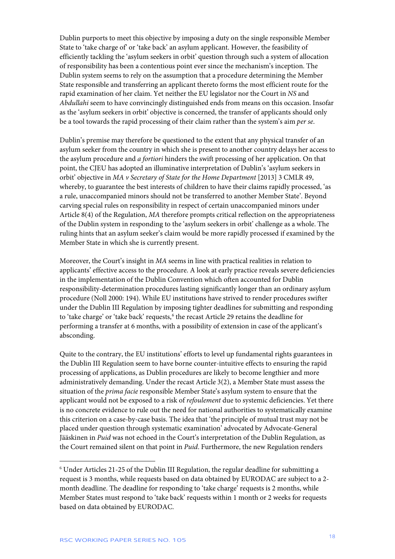Dublin purports to meet this objective by imposing a duty on the single responsible Member State to 'take charge of' or 'take back' an asylum applicant. However, the feasibility of efficiently tackling the 'asylum seekers in orbit' question through such a system of allocation of responsibility has been a contentious point ever since the mechanism's inception. The Dublin system seems to rely on the assumption that a procedure determining the Member State responsible and transferring an applicant thereto forms the most efficient route for the rapid examination of her claim. Yet neither the EU legislator nor the Court in *NS* and *Abdullahi* seem to have convincingly distinguished ends from means on this occasion. Insofar as the 'asylum seekers in orbit' objective is concerned, the transfer of applicants should only be a tool towards the rapid processing of their claim rather than the system's aim *per se*.

Dublin's premise may therefore be questioned to the extent that any physical transfer of an asylum seeker from the country in which she is present to another country delays her access to the asylum procedure and *a fortiori* hinders the swift processing of her application. On that point, the CJEU has adopted an illuminative interpretation of Dublin's 'asylum seekers in orbit' objective in *MA v Secretary of State for the Home Department* [2013] 3 CMLR 49, whereby, to guarantee the best interests of children to have their claims rapidly processed, 'as a rule, unaccompanied minors should not be transferred to another Member State'. Beyond carving special rules on responsibility in respect of certain unaccompanied minors under Article 8(4) of the Regulation, *MA* therefore prompts critical reflection on the appropriateness of the Dublin system in responding to the 'asylum seekers in orbit' challenge as a whole. The ruling hints that an asylum seeker's claim would be more rapidly processed if examined by the Member State in which she is currently present.

Moreover, the Court's insight in *MA* seems in line with practical realities in relation to applicants' effective access to the procedure. A look at early practice reveals severe deficiencies in the implementation of the Dublin Convention which often accounted for Dublin responsibility-determination procedures lasting significantly longer than an ordinary asylum procedure (Noll 2000: 194). While EU institutions have strived to render procedures swifter under the Dublin III Regulation by imposing tighter deadlines for submitting and responding to 'take charge' or 'take back' requests,<sup>[6](#page-18-0)</sup> the recast Article 29 retains the deadline for performing a transfer at 6 months, with a possibility of extension in case of the applicant's absconding.

Quite to the contrary, the EU institutions' efforts to level up fundamental rights guarantees in the Dublin III Regulation seem to have borne counter-intuitive effects to ensuring the rapid processing of applications, as Dublin procedures are likely to become lengthier and more administratively demanding. Under the recast Article 3(2), a Member State must assess the situation of the *prima facie* responsible Member State's asylum system to ensure that the applicant would not be exposed to a risk of *refoulement* due to systemic deficiencies. Yet there is no concrete evidence to rule out the need for national authorities to systematically examine this criterion on a case-by-case basis. The idea that 'the principle of mutual trust may not be placed under question through systematic examination' advocated by Advocate-General Jääskinen in *Puid* was not echoed in the Court's interpretation of the Dublin Regulation, as the Court remained silent on that point in *Puid*. Furthermore, the new Regulation renders

1

<span id="page-18-0"></span><sup>6</sup> Under Articles 21-25 of the Dublin III Regulation, the regular deadline for submitting a request is 3 months, while requests based on data obtained by EURODAC are subject to a 2 month deadline. The deadline for responding to 'take charge' requests is 2 months, while Member States must respond to 'take back' requests within 1 month or 2 weeks for requests based on data obtained by EURODAC.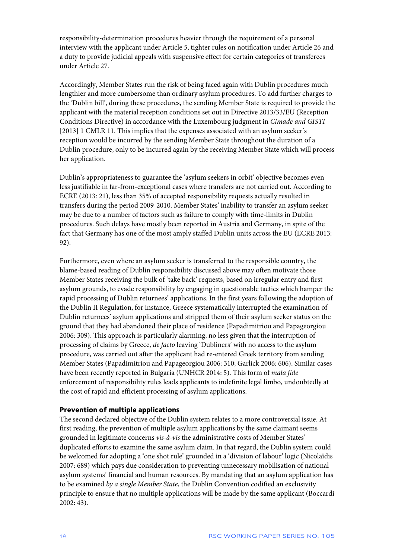responsibility-determination procedures heavier through the requirement of a personal interview with the applicant under Article 5, tighter rules on notification under Article 26 and a duty to provide judicial appeals with suspensive effect for certain categories of transferees under Article 27.

Accordingly, Member States run the risk of being faced again with Dublin procedures much lengthier and more cumbersome than ordinary asylum procedures. To add further charges to the 'Dublin bill', during these procedures, the sending Member State is required to provide the applicant with the material reception conditions set out in Directive 2013/33/EU (Reception Conditions Directive) in accordance with the Luxembourg judgment in *Cimade and GISTI* [2013] 1 CMLR 11. This implies that the expenses associated with an asylum seeker's reception would be incurred by the sending Member State throughout the duration of a Dublin procedure, only to be incurred again by the receiving Member State which will process her application.

Dublin's appropriateness to guarantee the 'asylum seekers in orbit' objective becomes even less justifiable in far-from-exceptional cases where transfers are not carried out. According to ECRE (2013: 21), less than 35% of accepted responsibility requests actually resulted in transfers during the period 2009-2010. Member States' inability to transfer an asylum seeker may be due to a number of factors such as failure to comply with time-limits in Dublin procedures. Such delays have mostly been reported in Austria and Germany, in spite of the fact that Germany has one of the most amply staffed Dublin units across the EU (ECRE 2013: 92).

Furthermore, even where an asylum seeker is transferred to the responsible country, the blame-based reading of Dublin responsibility discussed above may often motivate those Member States receiving the bulk of 'take back' requests, based on irregular entry and first asylum grounds, to evade responsibility by engaging in questionable tactics which hamper the rapid processing of Dublin returnees' applications. In the first years following the adoption of the Dublin II Regulation, for instance, Greece systematically interrupted the examination of Dublin returnees' asylum applications and stripped them of their asylum seeker status on the ground that they had abandoned their place of residence (Papadimitriou and Papageorgiou 2006: 309). This approach is particularly alarming, no less given that the interruption of processing of claims by Greece, *de facto* leaving 'Dubliners' with no access to the asylum procedure, was carried out after the applicant had re-entered Greek territory from sending Member States (Papadimitriou and Papageorgiou 2006: 310; Garlick 2006: 606). Similar cases have been recently reported in Bulgaria (UNHCR 2014: 5). This form of *mala fide* enforcement of responsibility rules leads applicants to indefinite legal limbo, undoubtedly at the cost of rapid and efficient processing of asylum applications.

#### <span id="page-19-0"></span>**Prevention of multiple applications**

The second declared objective of the Dublin system relates to a more controversial issue. At first reading, the prevention of multiple asylum applications by the same claimant seems grounded in legitimate concerns *vis-à-vis* the administrative costs of Member States' duplicated efforts to examine the same asylum claim. In that regard, the Dublin system could be welcomed for adopting a 'one shot rule' grounded in a 'division of labour' logic (Nicolaïdis 2007: 689) which pays due consideration to preventing unnecessary mobilisation of national asylum systems' financial and human resources. By mandating that an asylum application has to be examined *by a single Member State*, the Dublin Convention codified an exclusivity principle to ensure that no multiple applications will be made by the same applicant (Boccardi 2002: 43).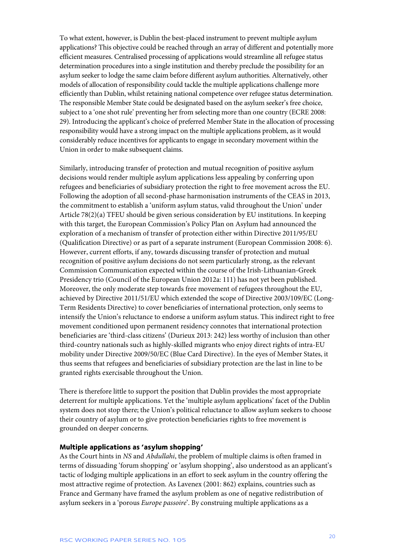To what extent, however, is Dublin the best-placed instrument to prevent multiple asylum applications? This objective could be reached through an array of different and potentially more efficient measures. Centralised processing of applications would streamline all refugee status determination procedures into a single institution and thereby preclude the possibility for an asylum seeker to lodge the same claim before different asylum authorities. Alternatively, other models of allocation of responsibility could tackle the multiple applications challenge more efficiently than Dublin, whilst retaining national competence over refugee status determination. The responsible Member State could be designated based on the asylum seeker's free choice, subject to a 'one shot rule' preventing her from selecting more than one country (ECRE 2008: 29). Introducing the applicant's choice of preferred Member State in the allocation of processing responsibility would have a strong impact on the multiple applications problem, as it would considerably reduce incentives for applicants to engage in secondary movement within the Union in order to make subsequent claims.

Similarly, introducing transfer of protection and mutual recognition of positive asylum decisions would render multiple asylum applications less appealing by conferring upon refugees and beneficiaries of subsidiary protection the right to free movement across the EU. Following the adoption of all second-phase harmonisation instruments of the CEAS in 2013, the commitment to establish a 'uniform asylum status, valid throughout the Union' under Article 78(2)(a) TFEU should be given serious consideration by EU institutions. In keeping with this target, the European Commission's Policy Plan on Asylum had announced the exploration of a mechanism of transfer of protection either within Directive 2011/95/EU (Qualification Directive) or as part of a separate instrument (European Commission 2008: 6). However, current efforts, if any, towards discussing transfer of protection and mutual recognition of positive asylum decisions do not seem particularly strong, as the relevant Commission Communication expected within the course of the Irish-Lithuanian-Greek Presidency trio (Council of the European Union 2012a: 111) has not yet been published. Moreover, the only moderate step towards free movement of refugees throughout the EU, achieved by Directive 2011/51/EU which extended the scope of Directive 2003/109/EC (Long-Term Residents Directive) to cover beneficiaries of international protection, only seems to intensify the Union's reluctance to endorse a uniform asylum status. This indirect right to free movement conditioned upon permanent residency connotes that international protection beneficiaries are 'third-class citizens' (Durieux 2013: 242) less worthy of inclusion than other third-country nationals such as highly-skilled migrants who enjoy direct rights of intra-EU mobility under Directive 2009/50/EC (Blue Card Directive). In the eyes of Member States, it thus seems that refugees and beneficiaries of subsidiary protection are the last in line to be granted rights exercisable throughout the Union.

There is therefore little to support the position that Dublin provides the most appropriate deterrent for multiple applications. Yet the 'multiple asylum applications' facet of the Dublin system does not stop there; the Union's political reluctance to allow asylum seekers to choose their country of asylum or to give protection beneficiaries rights to free movement is grounded on deeper concerns.

#### <span id="page-20-0"></span>**Multiple applications as 'asylum shopping'**

As the Court hints in *NS* and *Abdullahi*, the problem of multiple claims is often framed in terms of dissuading 'forum shopping' or 'asylum shopping', also understood as an applicant's tactic of lodging multiple applications in an effort to seek asylum in the country offering the most attractive regime of protection. As Lavenex (2001: 862) explains, countries such as France and Germany have framed the asylum problem as one of negative redistribution of asylum seekers in a 'porous *Europe passoire*'. By construing multiple applications as a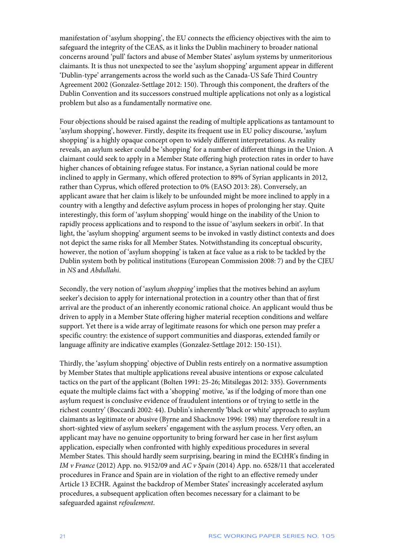manifestation of 'asylum shopping', the EU connects the efficiency objectives with the aim to safeguard the integrity of the CEAS, as it links the Dublin machinery to broader national concerns around 'pull' factors and abuse of Member States' asylum systems by unmeritorious claimants. It is thus not unexpected to see the 'asylum shopping' argument appear in different 'Dublin-type' arrangements across the world such as the Canada-US Safe Third Country Agreement 2002 (Gonzalez-Settlage 2012: 150). Through this component, the drafters of the Dublin Convention and its successors construed multiple applications not only as a logistical problem but also as a fundamentally normative one.

Four objections should be raised against the reading of multiple applications as tantamount to 'asylum shopping', however. Firstly, despite its frequent use in EU policy discourse, 'asylum shopping' is a highly opaque concept open to widely different interpretations. As reality reveals, an asylum seeker could be 'shopping' for a number of different things in the Union. A claimant could seek to apply in a Member State offering high protection rates in order to have higher chances of obtaining refugee status. For instance, a Syrian national could be more inclined to apply in Germany, which offered protection to 89% of Syrian applicants in 2012, rather than Cyprus, which offered protection to 0% (EASO 2013: 28). Conversely, an applicant aware that her claim is likely to be unfounded might be more inclined to apply in a country with a lengthy and defective asylum process in hopes of prolonging her stay. Quite interestingly, this form of 'asylum shopping' would hinge on the inability of the Union to rapidly process applications and to respond to the issue of 'asylum seekers in orbit'. In that light, the 'asylum shopping' argument seems to be invoked in vastly distinct contexts and does not depict the same risks for all Member States. Notwithstanding its conceptual obscurity, however, the notion of 'asylum shopping' is taken at face value as a risk to be tackled by the Dublin system both by political institutions (European Commission 2008: 7) and by the CJEU in *NS* and *Abdullahi*.

Secondly, the very notion of 'asylum *shopping'* implies that the motives behind an asylum seeker's decision to apply for international protection in a country other than that of first arrival are the product of an inherently economic rational choice. An applicant would thus be driven to apply in a Member State offering higher material reception conditions and welfare support. Yet there is a wide array of legitimate reasons for which one person may prefer a specific country: the existence of support communities and diasporas, extended family or language affinity are indicative examples (Gonzalez-Settlage 2012: 150-151).

Thirdly, the 'asylum shopping' objective of Dublin rests entirely on a normative assumption by Member States that multiple applications reveal abusive intentions or expose calculated tactics on the part of the applicant (Bolten 1991: 25-26; Mitsilegas 2012: 335). Governments equate the multiple claims fact with a 'shopping' motive, 'as if the lodging of more than one asylum request is conclusive evidence of fraudulent intentions or of trying to settle in the richest country' (Boccardi 2002: 44). Dublin's inherently 'black or white' approach to asylum claimants as legitimate or abusive (Byrne and Shacknove 1996: 198) may therefore result in a short-sighted view of asylum seekers' engagement with the asylum process. Very often, an applicant may have no genuine opportunity to bring forward her case in her first asylum application, especially when confronted with highly expeditious procedures in several Member States. This should hardly seem surprising, bearing in mind the ECtHR's finding in *IM v France* (2012) App. no. 9152/09 and *AC v Spain* (2014) App. no. 6528/11 that accelerated procedures in France and Spain are in violation of the right to an effective remedy under Article 13 ECHR. Against the backdrop of Member States' increasingly accelerated asylum procedures, a subsequent application often becomes necessary for a claimant to be safeguarded against *refoulement*.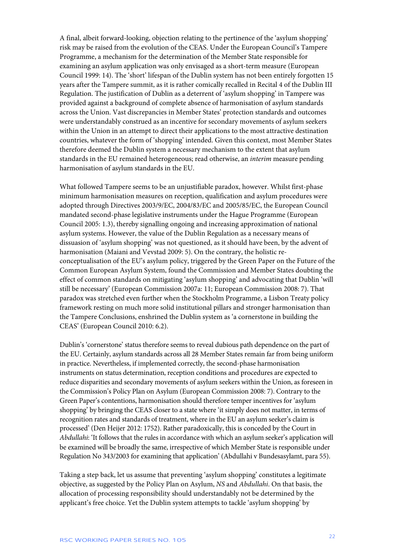A final, albeit forward-looking, objection relating to the pertinence of the 'asylum shopping' risk may be raised from the evolution of the CEAS. Under the European Council's Tampere Programme, a mechanism for the determination of the Member State responsible for examining an asylum application was only envisaged as a short-term measure (European Council 1999: 14). The 'short' lifespan of the Dublin system has not been entirely forgotten 15 years after the Tampere summit, as it is rather comically recalled in Recital 4 of the Dublin III Regulation. The justification of Dublin as a deterrent of 'asylum shopping' in Tampere was provided against a background of complete absence of harmonisation of asylum standards across the Union. Vast discrepancies in Member States' protection standards and outcomes were understandably construed as an incentive for secondary movements of asylum seekers within the Union in an attempt to direct their applications to the most attractive destination countries, whatever the form of 'shopping' intended. Given this context, most Member States therefore deemed the Dublin system a necessary mechanism to the extent that asylum standards in the EU remained heterogeneous; read otherwise, an *interim* measure pending harmonisation of asylum standards in the EU.

What followed Tampere seems to be an unjustifiable paradox, however. Whilst first-phase minimum harmonisation measures on reception, qualification and asylum procedures were adopted through Directives 2003/9/EC, 2004/83/EC and 2005/85/EC, the European Council mandated second-phase legislative instruments under the Hague Programme (European Council 2005: 1.3), thereby signalling ongoing and increasing approximation of national asylum systems. However, the value of the Dublin Regulation as a necessary means of dissuasion of 'asylum shopping' was not questioned, as it should have been, by the advent of harmonisation (Maiani and Vevstad 2009: 5). On the contrary, the holistic reconceptualisation of the EU's asylum policy, triggered by the Green Paper on the Future of the Common European Asylum System, found the Commission and Member States doubting the effect of common standards on mitigating 'asylum shopping' and advocating that Dublin 'will still be necessary' (European Commission 2007a: 11; European Commission 2008: 7). That paradox was stretched even further when the Stockholm Programme, a Lisbon Treaty policy framework resting on much more solid institutional pillars and stronger harmonisation than the Tampere Conclusions, enshrined the Dublin system as 'a cornerstone in building the CEAS' (European Council 2010: 6.2).

Dublin's 'cornerstone' status therefore seems to reveal dubious path dependence on the part of the EU. Certainly, asylum standards across all 28 Member States remain far from being uniform in practice. Nevertheless, if implemented correctly, the second-phase harmonisation instruments on status determination, reception conditions and procedures are expected to reduce disparities and secondary movements of asylum seekers within the Union, as foreseen in the Commission's Policy Plan on Asylum (European Commission 2008: 7). Contrary to the Green Paper's contentions, harmonisation should therefore temper incentives for 'asylum shopping' by bringing the CEAS closer to a state where 'it simply does not matter, in terms of recognition rates and standards of treatment, where in the EU an asylum seeker's claim is processed' (Den Heijer 2012: 1752). Rather paradoxically, this is conceded by the Court in *Abdullahi*: 'It follows that the rules in accordance with which an asylum seeker's application will be examined will be broadly the same, irrespective of which Member State is responsible under Regulation No 343/2003 for examining that application' (Abdullahi v Bundesasylamt, para 55).

Taking a step back, let us assume that preventing 'asylum shopping' constitutes a legitimate objective, as suggested by the Policy Plan on Asylum, *NS* and *Abdullahi*. On that basis, the allocation of processing responsibility should understandably not be determined by the applicant's free choice. Yet the Dublin system attempts to tackle 'asylum shopping' by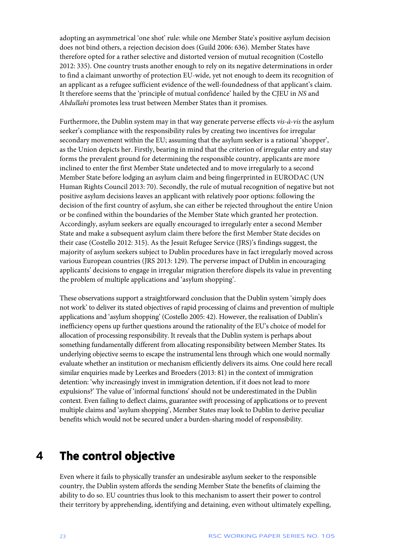adopting an asymmetrical 'one shot' rule: while one Member State's positive asylum decision does not bind others, a rejection decision does (Guild 2006: 636). Member States have therefore opted for a rather selective and distorted version of mutual recognition (Costello 2012: 335). One country trusts another enough to rely on its negative determinations in order to find a claimant unworthy of protection EU-wide, yet not enough to deem its recognition of an applicant as a refugee sufficient evidence of the well-foundedness of that applicant's claim. It therefore seems that the 'principle of mutual confidence' hailed by the CJEU in *NS* and *Abdullahi* promotes less trust between Member States than it promises.

Furthermore, the Dublin system may in that way generate perverse effects *vis-à-vis* the asylum seeker's compliance with the responsibility rules by creating two incentives for irregular secondary movement within the EU; assuming that the asylum seeker is a rational 'shopper', as the Union depicts her. Firstly, bearing in mind that the criterion of irregular entry and stay forms the prevalent ground for determining the responsible country, applicants are more inclined to enter the first Member State undetected and to move irregularly to a second Member State before lodging an asylum claim and being fingerprinted in EURODAC (UN Human Rights Council 2013: 70). Secondly, the rule of mutual recognition of negative but not positive asylum decisions leaves an applicant with relatively poor options: following the decision of the first country of asylum, she can either be rejected throughout the entire Union or be confined within the boundaries of the Member State which granted her protection. Accordingly, asylum seekers are equally encouraged to irregularly enter a second Member State and make a subsequent asylum claim there before the first Member State decides on their case (Costello 2012: 315). As the Jesuit Refugee Service (JRS)'s findings suggest, the majority of asylum seekers subject to Dublin procedures have in fact irregularly moved across various European countries (JRS 2013: 129). The perverse impact of Dublin in encouraging applicants' decisions to engage in irregular migration therefore dispels its value in preventing the problem of multiple applications and 'asylum shopping'.

These observations support a straightforward conclusion that the Dublin system 'simply does not work' to deliver its stated objectives of rapid processing of claims and prevention of multiple applications and 'asylum shopping' (Costello 2005: 42). However, the realisation of Dublin's inefficiency opens up further questions around the rationality of the EU's choice of model for allocation of processing responsibility. It reveals that the Dublin system is perhaps about something fundamentally different from allocating responsibility between Member States. Its underlying objective seems to escape the instrumental lens through which one would normally evaluate whether an institution or mechanism efficiently delivers its aims. One could here recall similar enquiries made by Leerkes and Broeders (2013: 81) in the context of immigration detention: 'why increasingly invest in immigration detention, if it does not lead to more expulsions?' The value of 'informal functions' should not be underestimated in the Dublin context. Even failing to deflect claims, guarantee swift processing of applications or to prevent multiple claims and 'asylum shopping', Member States may look to Dublin to derive peculiar benefits which would not be secured under a burden-sharing model of responsibility.

### <span id="page-23-0"></span>**4 The control objective**

Even where it fails to physically transfer an undesirable asylum seeker to the responsible country, the Dublin system affords the sending Member State the benefits of claiming the ability to do so. EU countries thus look to this mechanism to assert their power to control their territory by apprehending, identifying and detaining, even without ultimately expelling,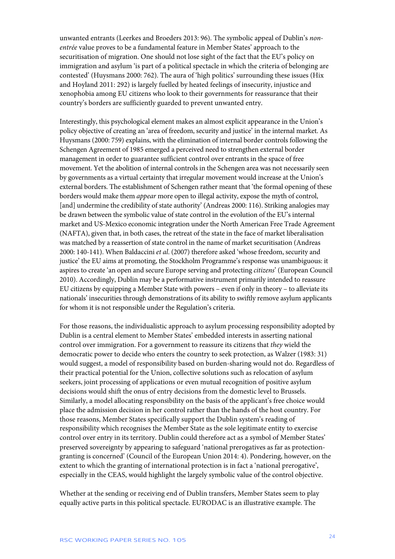unwanted entrants (Leerkes and Broeders 2013: 96). The symbolic appeal of Dublin's *nonentrée* value proves to be a fundamental feature in Member States' approach to the securitisation of migration. One should not lose sight of the fact that the EU's policy on immigration and asylum 'is part of a political spectacle in which the criteria of belonging are contested' (Huysmans 2000: 762). The aura of 'high politics' surrounding these issues (Hix and Hoyland 2011: 292) is largely fuelled by heated feelings of insecurity, injustice and xenophobia among EU citizens who look to their governments for reassurance that their country's borders are sufficiently guarded to prevent unwanted entry.

Interestingly, this psychological element makes an almost explicit appearance in the Union's policy objective of creating an 'area of freedom, security and justice' in the internal market. As Huysmans (2000: 759) explains, with the elimination of internal border controls following the Schengen Agreement of 1985 emerged a perceived need to strengthen external border management in order to guarantee sufficient control over entrants in the space of free movement. Yet the abolition of internal controls in the Schengen area was not necessarily seen by governments as a virtual certainty that irregular movement would increase at the Union's external borders. The establishment of Schengen rather meant that 'the formal opening of these borders would make them *appear* more open to illegal activity, expose the myth of control, [and] undermine the credibility of state authority' (Andreas 2000: 116). Striking analogies may be drawn between the symbolic value of state control in the evolution of the EU's internal market and US-Mexico economic integration under the North American Free Trade Agreement (NAFTA), given that, in both cases, the retreat of the state in the face of market liberalisation was matched by a reassertion of state control in the name of market securitisation (Andreas 2000: 140-141). When Baldaccini *et al*. (2007) therefore asked 'whose freedom, security and justice' the EU aims at promoting, the Stockholm Programme's response was unambiguous: it aspires to create 'an open and secure Europe serving and protecting *citizens*' (European Council 2010). Accordingly, Dublin may be a performative instrument primarily intended to reassure EU citizens by equipping a Member State with powers – even if only in theory – to alleviate its nationals' insecurities through demonstrations of its ability to swiftly remove asylum applicants for whom it is not responsible under the Regulation's criteria.

For those reasons, the individualistic approach to asylum processing responsibility adopted by Dublin is a central element to Member States' embedded interests in asserting national control over immigration. For a government to reassure its citizens that *they* wield the democratic power to decide who enters the country to seek protection, as Walzer (1983: 31) would suggest, a model of responsibility based on burden-sharing would not do. Regardless of their practical potential for the Union, collective solutions such as relocation of asylum seekers, joint processing of applications or even mutual recognition of positive asylum decisions would shift the onus of entry decisions from the domestic level to Brussels. Similarly, a model allocating responsibility on the basis of the applicant's free choice would place the admission decision in her control rather than the hands of the host country. For those reasons, Member States specifically support the Dublin system's reading of responsibility which recognises the Member State as the sole legitimate entity to exercise control over entry in its territory. Dublin could therefore act as a symbol of Member States' preserved sovereignty by appearing to safeguard 'national prerogatives as far as protectiongranting is concerned' (Council of the European Union 2014: 4). Pondering, however, on the extent to which the granting of international protection is in fact a 'national prerogative', especially in the CEAS, would highlight the largely symbolic value of the control objective.

Whether at the sending or receiving end of Dublin transfers, Member States seem to play equally active parts in this political spectacle. EURODAC is an illustrative example. The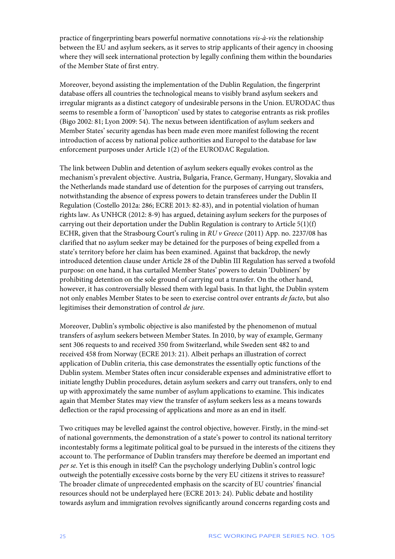practice of fingerprinting bears powerful normative connotations *vis-à-vis* the relationship between the EU and asylum seekers, as it serves to strip applicants of their agency in choosing where they will seek international protection by legally confining them within the boundaries of the Member State of first entry.

Moreover, beyond assisting the implementation of the Dublin Regulation, the fingerprint database offers all countries the technological means to visibly brand asylum seekers and irregular migrants as a distinct category of undesirable persons in the Union. EURODAC thus seems to resemble a form of '*ban*opticon' used by states to categorise entrants as risk profiles (Bigo 2002: 81; Lyon 2009: 54). The nexus between identification of asylum seekers and Member States' security agendas has been made even more manifest following the recent introduction of access by national police authorities and Europol to the database for law enforcement purposes under Article 1(2) of the EURODAC Regulation.

The link between Dublin and detention of asylum seekers equally evokes control as the mechanism's prevalent objective. Austria, Bulgaria, France, Germany, Hungary, Slovakia and the Netherlands made standard use of detention for the purposes of carrying out transfers, notwithstanding the absence of express powers to detain transferees under the Dublin II Regulation (Costello 2012a: 286; ECRE 2013: 82-83), and in potential violation of human rights law. As UNHCR (2012: 8-9) has argued, detaining asylum seekers for the purposes of carrying out their deportation under the Dublin Regulation is contrary to Article  $5(1)(f)$ ECHR, given that the Strasbourg Court's ruling in *RU v Greece* (2011) App. no. 2237/08 has clarified that no asylum seeker may be detained for the purposes of being expelled from a state's territory before her claim has been examined. Against that backdrop, the newly introduced detention clause under Article 28 of the Dublin III Regulation has served a twofold purpose: on one hand, it has curtailed Member States' powers to detain 'Dubliners' by prohibiting detention on the sole ground of carrying out a transfer. On the other hand, however, it has controversially blessed them with legal basis. In that light, the Dublin system not only enables Member States to be seen to exercise control over entrants *de facto*, but also legitimises their demonstration of control *de jure*.

Moreover, Dublin's symbolic objective is also manifested by the phenomenon of mutual transfers of asylum seekers between Member States. In 2010, by way of example, Germany sent 306 requests to and received 350 from Switzerland, while Sweden sent 482 to and received 458 from Norway (ECRE 2013: 21). Albeit perhaps an illustration of correct application of Dublin criteria, this case demonstrates the essentially optic functions of the Dublin system. Member States often incur considerable expenses and administrative effort to initiate lengthy Dublin procedures, detain asylum seekers and carry out transfers, only to end up with approximately the same number of asylum applications to examine. This indicates again that Member States may view the transfer of asylum seekers less as a means towards deflection or the rapid processing of applications and more as an end in itself.

Two critiques may be levelled against the control objective, however. Firstly, in the mind-set of national governments, the demonstration of a state's power to control its national territory incontestably forms a legitimate political goal to be pursued in the interests of the citizens they account to. The performance of Dublin transfers may therefore be deemed an important end *per se*. Yet is this enough in itself? Can the psychology underlying Dublin's control logic outweigh the potentially excessive costs borne by the very EU citizens it strives to reassure? The broader climate of unprecedented emphasis on the scarcity of EU countries' financial resources should not be underplayed here (ECRE 2013: 24). Public debate and hostility towards asylum and immigration revolves significantly around concerns regarding costs and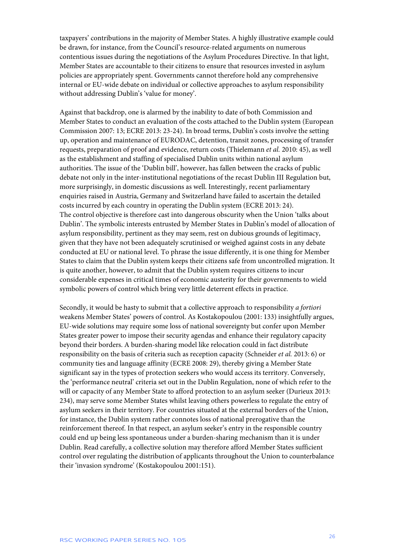taxpayers' contributions in the majority of Member States. A highly illustrative example could be drawn, for instance, from the Council's resource-related arguments on numerous contentious issues during the negotiations of the Asylum Procedures Directive. In that light, Member States are accountable to their citizens to ensure that resources invested in asylum policies are appropriately spent. Governments cannot therefore hold any comprehensive internal or EU-wide debate on individual or collective approaches to asylum responsibility without addressing Dublin's 'value for money'.

Against that backdrop, one is alarmed by the inability to date of both Commission and Member States to conduct an evaluation of the costs attached to the Dublin system (European Commission 2007: 13; ECRE 2013: 23-24). In broad terms, Dublin's costs involve the setting up, operation and maintenance of EURODAC, detention, transit zones, processing of transfer requests, preparation of proof and evidence, return costs (Thielemann *et al.* 2010: 45), as well as the establishment and staffing of specialised Dublin units within national asylum authorities. The issue of the 'Dublin bill', however, has fallen between the cracks of public debate not only in the inter-institutional negotiations of the recast Dublin III Regulation but, more surprisingly, in domestic discussions as well. Interestingly, recent parliamentary enquiries raised in Austria, Germany and Switzerland have failed to ascertain the detailed costs incurred by each country in operating the Dublin system (ECRE 2013: 24). The control objective is therefore cast into dangerous obscurity when the Union 'talks about Dublin'. The symbolic interests entrusted by Member States in Dublin's model of allocation of asylum responsibility, pertinent as they may seem, rest on dubious grounds of legitimacy, given that they have not been adequately scrutinised or weighed against costs in any debate conducted at EU or national level. To phrase the issue differently, it is one thing for Member States to claim that the Dublin system keeps their citizens safe from uncontrolled migration. It is quite another, however, to admit that the Dublin system requires citizens to incur considerable expenses in critical times of economic austerity for their governments to wield symbolic powers of control which bring very little deterrent effects in practice.

Secondly, it would be hasty to submit that a collective approach to responsibility *a fortiori*  weakens Member States' powers of control. As Kostakopoulou (2001: 133) insightfully argues, EU-wide solutions may require some loss of national sovereignty but confer upon Member States greater power to impose their security agendas and enhance their regulatory capacity beyond their borders. A burden-sharing model like relocation could in fact distribute responsibility on the basis of criteria such as reception capacity (Schneider *et al.* 2013: 6) or community ties and language affinity (ECRE 2008: 29), thereby giving a Member State significant say in the types of protection seekers who would access its territory. Conversely, the 'performance neutral' criteria set out in the Dublin Regulation, none of which refer to the will or capacity of any Member State to afford protection to an asylum seeker (Durieux 2013: 234), may serve some Member States whilst leaving others powerless to regulate the entry of asylum seekers in their territory. For countries situated at the external borders of the Union, for instance, the Dublin system rather connotes loss of national prerogative than the reinforcement thereof. In that respect, an asylum seeker's entry in the responsible country could end up being less spontaneous under a burden-sharing mechanism than it is under Dublin. Read carefully, a collective solution may therefore afford Member States sufficient control over regulating the distribution of applicants throughout the Union to counterbalance their 'invasion syndrome' (Kostakopoulou 2001:151).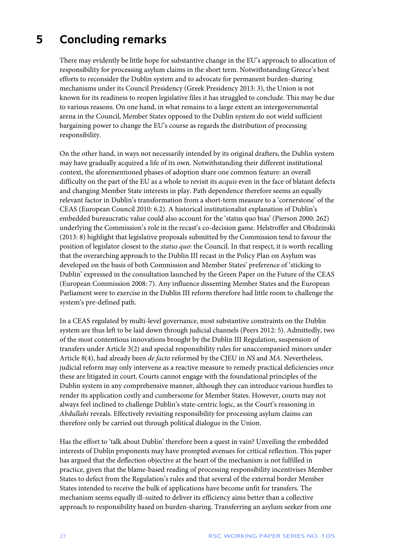# <span id="page-27-0"></span>**5 Concluding remarks**

There may evidently be little hope for substantive change in the EU's approach to allocation of responsibility for processing asylum claims in the short term. Notwithstanding Greece's best efforts to reconsider the Dublin system and to advocate for permanent burden-sharing mechanisms under its Council Presidency (Greek Presidency 2013: 3), the Union is not known for its readiness to reopen legislative files it has struggled to conclude. This may be due to various reasons. On one hand, in what remains to a large extent an intergovernmental arena in the Council, Member States opposed to the Dublin system do not wield sufficient bargaining power to change the EU's course as regards the distribution of processing responsibility.

On the other hand, in ways not necessarily intended by its original drafters, the Dublin system may have gradually acquired a life of its own. Notwithstanding their different institutional context, the aforementioned phases of adoption share one common feature: an overall difficulty on the part of the EU as a whole to revisit its *acquis* even in the face of blatant defects and changing Member State interests in play. Path dependence therefore seems an equally relevant factor in Dublin's transformation from a short-term measure to a 'cornerstone' of the CEAS (European Council 2010: 6.2). A historical institutionalist explanation of Dublin's embedded bureaucratic value could also account for the 'status quo bias' (Pierson 2000: 262) underlying the Commission's role in the recast's co-decision game. Helstroffer and Obidzinski (2013: 8) highlight that legislative proposals submitted by the Commission tend to favour the position of legislator closest to the *status quo*: the Council. In that respect, it is worth recalling that the overarching approach to the Dublin III recast in the Policy Plan on Asylum was developed on the basis of both Commission and Member States' preference of 'sticking to Dublin' expressed in the consultation launched by the Green Paper on the Future of the CEAS (European Commission 2008: 7). Any influence dissenting Member States and the European Parliament were to exercise in the Dublin III reform therefore had little room to challenge the system's pre-defined path.

In a CEAS regulated by multi-level governance, most substantive constraints on the Dublin system are thus left to be laid down through judicial channels (Peers 2012: 5). Admittedly, two of the most contentious innovations brought by the Dublin III Regulation, suspension of transfers under Article 3(2) and special responsibility rules for unaccompanied minors under Article 8(4), had already been *de facto* reformed by the CJEU in *NS* and *MA*. Nevertheless, judicial reform may only intervene as a reactive measure to remedy practical deficiencies once these are litigated in court. Courts cannot engage with the foundational principles of the Dublin system in any comprehensive manner, although they can introduce various hurdles to render its application costly and cumbersome for Member States. However, courts may not always feel inclined to challenge Dublin's state-centric logic, as the Court's reasoning in *Abdullahi* reveals. Effectively revisiting responsibility for processing asylum claims can therefore only be carried out through political dialogue in the Union.

Has the effort to 'talk about Dublin' therefore been a quest in vain? Unveiling the embedded interests of Dublin proponents may have prompted avenues for critical reflection. This paper has argued that the deflection objective at the heart of the mechanism is not fulfilled in practice, given that the blame-based reading of processing responsibility incentivises Member States to defect from the Regulation's rules and that several of the external border Member States intended to receive the bulk of applications have become unfit for transfers. The mechanism seems equally ill-suited to deliver its efficiency aims better than a collective approach to responsibility based on burden-sharing. Transferring an asylum seeker from one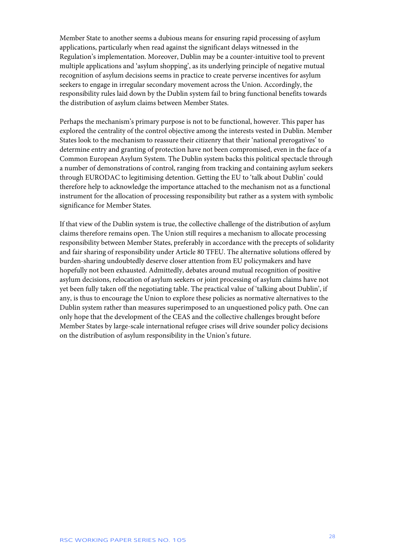Member State to another seems a dubious means for ensuring rapid processing of asylum applications, particularly when read against the significant delays witnessed in the Regulation's implementation. Moreover, Dublin may be a counter-intuitive tool to prevent multiple applications and 'asylum shopping', as its underlying principle of negative mutual recognition of asylum decisions seems in practice to create perverse incentives for asylum seekers to engage in irregular secondary movement across the Union. Accordingly, the responsibility rules laid down by the Dublin system fail to bring functional benefits towards the distribution of asylum claims between Member States.

Perhaps the mechanism's primary purpose is not to be functional, however. This paper has explored the centrality of the control objective among the interests vested in Dublin. Member States look to the mechanism to reassure their citizenry that their 'national prerogatives' to determine entry and granting of protection have not been compromised, even in the face of a Common European Asylum System. The Dublin system backs this political spectacle through a number of demonstrations of control, ranging from tracking and containing asylum seekers through EURODAC to legitimising detention. Getting the EU to 'talk about Dublin' could therefore help to acknowledge the importance attached to the mechanism not as a functional instrument for the allocation of processing responsibility but rather as a system with symbolic significance for Member States.

If that view of the Dublin system is true, the collective challenge of the distribution of asylum claims therefore remains open. The Union still requires a mechanism to allocate processing responsibility between Member States, preferably in accordance with the precepts of solidarity and fair sharing of responsibility under Article 80 TFEU. The alternative solutions offered by burden-sharing undoubtedly deserve closer attention from EU policymakers and have hopefully not been exhausted. Admittedly, debates around mutual recognition of positive asylum decisions, relocation of asylum seekers or joint processing of asylum claims have not yet been fully taken off the negotiating table. The practical value of 'talking about Dublin', if any, is thus to encourage the Union to explore these policies as normative alternatives to the Dublin system rather than measures superimposed to an unquestioned policy path. One can only hope that the development of the CEAS and the collective challenges brought before Member States by large-scale international refugee crises will drive sounder policy decisions on the distribution of asylum responsibility in the Union's future.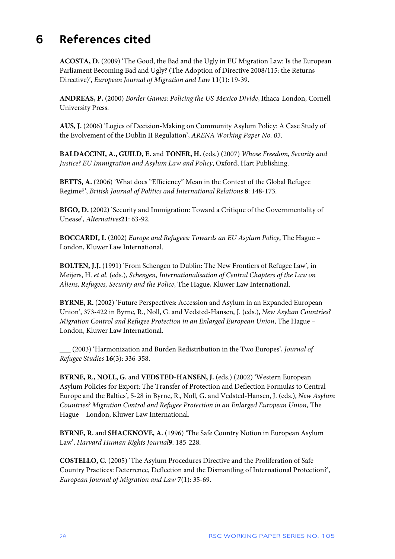## <span id="page-29-0"></span>**6 References cited**

**ACOSTA, D.** (2009) 'The Good, the Bad and the Ugly in EU Migration Law: Is the European Parliament Becoming Bad and Ugly? (The Adoption of Directive 2008/115: the Returns Directive)', *European Journal of Migration and Law* **11**(1): 19-39.

**ANDREAS, P.** (2000) *Border Games: Policing the US-Mexico Divide*, Ithaca-London, Cornell University Press.

**AUS, J.** (2006) 'Logics of Decision-Making on Community Asylum Policy: A Case Study of the Evolvement of the Dublin II Regulation', *ARENA Working Paper No. 03*.

**BALDACCINI, A., GUILD, E.** and **TONER, H.** (eds.) (2007) *Whose Freedom, Security and Justice? EU Immigration and Asylum Law and Policy*, Oxford, Hart Publishing.

**BETTS, A.** (2006) 'What does "Efficiency" Mean in the Context of the Global Refugee Regime?', *British Journal of Politics and International Relations* **8**: 148-173.

**BIGO, D.** (2002) 'Security and Immigration: Toward a Critique of the Governmentality of Unease', *Alternatives***21**: 63-92.

**BOCCARDI, I.** (2002) *Europe and Refugees: Towards an EU Asylum Policy*, The Hague – London, Kluwer Law International.

**BOLTEN, J.J.** (1991) 'From Schengen to Dublin: The New Frontiers of Refugee Law', in Meijers, H. *et al.* (eds.), *Schengen, Internationalisation of Central Chapters of the Law on Aliens, Refugees, Security and the Police*, The Hague, Kluwer Law International.

**BYRNE, R.** (2002) 'Future Perspectives: Accession and Asylum in an Expanded European Union', 373-422 in Byrne, R., Noll, G. and Vedsted-Hansen, J. (eds.), *New Asylum Countries? Migration Control and Refugee Protection in an Enlarged European Union*, The Hague – London, Kluwer Law International.

\_\_\_ (2003) 'Harmonization and Burden Redistribution in the Two Europes', *Journal of Refugee Studies* **16**(3): 336-358.

**BYRNE, R., NOLL, G.** and **VEDSTED-HANSEN, J.** (eds.) (2002) 'Western European Asylum Policies for Export: The Transfer of Protection and Deflection Formulas to Central Europe and the Baltics', 5-28 in Byrne, R., Noll, G. and Vedsted-Hansen, J. (eds.), *New Asylum Countries? Migration Control and Refugee Protection in an Enlarged European Union*, The Hague – London, Kluwer Law International.

**BYRNE, R.** and **SHACKNOVE, A.** (1996) 'The Safe Country Notion in European Asylum Law', *Harvard Human Rights Journal***9**: 185-228.

**COSTELLO, C.** (2005) 'The Asylum Procedures Directive and the Proliferation of Safe Country Practices: Deterrence, Deflection and the Dismantling of International Protection?', *European Journal of Migration and Law* **7**(1): 35-69.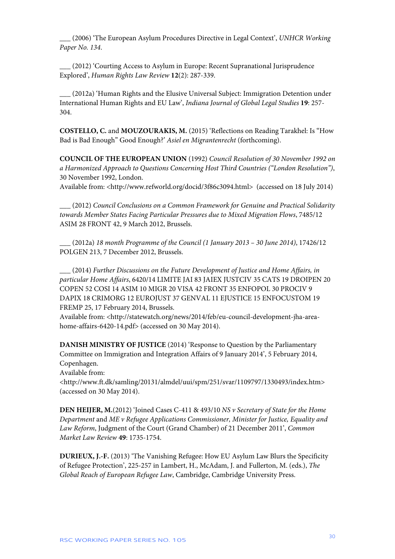\_\_\_ (2006) 'The European Asylum Procedures Directive in Legal Context', *UNHCR Working Paper No. 134*.

\_\_\_ (2012) 'Courting Access to Asylum in Europe: Recent Supranational Jurisprudence Explored', *Human Rights Law Review* **12**(2): 287-339.

\_\_\_ (2012a) 'Human Rights and the Elusive Universal Subject: Immigration Detention under International Human Rights and EU Law', *Indiana Journal of Global Legal Studies* **19**: 257- 304.

**COSTELLO, C.** and **MOUZOURAKIS, M.** (2015) 'Reflections on Reading Tarakhel: Is "How Bad is Bad Enough" Good Enough?' *Asiel en Migrantenrecht* (forthcoming).

**COUNCIL OF THE EUROPEAN UNION** (1992) *Council Resolution of 30 November 1992 on a Harmonized Approach to Questions Concerning Host Third Countries ("London Resolution")*, 30 November 1992, London.

Available from: <http://www.refworld.org/docid/3f86c3094.html> (accessed on 18 July 2014)

\_\_\_ (2012) *Council Conclusions on a Common Framework for Genuine and Practical Solidarity towards Member States Facing Particular Pressures due to Mixed Migration Flows*, 7485/12 ASIM 28 FRONT 42, 9 March 2012, Brussels.

**\_\_\_** (2012a) *18 month Programme of the Council (1 January 2013 – 30 June 2014)*, 17426/12 POLGEN 213, 7 December 2012, Brussels.

\_\_\_ (2014) *Further Discussions on the Future Development of Justice and Home Affairs, in particular Home Affairs*, 6420/14 LIMITE JAI 83 JAIEX JUSTCIV 35 CATS 19 DROIPEN 20 COPEN 52 COSI 14 ASIM 10 MIGR 20 VISA 42 FRONT 35 ENFOPOL 30 PROCIV 9 DAPIX 18 CRIMORG 12 EUROJUST 37 GENVAL 11 EJUSTICE 15 ENFOCUSTOM 19 FREMP 25, 17 February 2014, Brussels.

Available from: <http://statewatch.org/news/2014/feb/eu-council-development-jha-areahome-affairs-6420-14.pdf> (accessed on 30 May 2014).

**DANISH MINISTRY OF JUSTICE** (2014) 'Response to Question by the Parliamentary Committee on Immigration and Integration Affairs of 9 January 2014', 5 February 2014, Copenhagen.

Available from:

<http://www.ft.dk/samling/20131/almdel/uui/spm/251/svar/1109797/1330493/index.htm> (accessed on 30 May 2014).

**DEN HEIJER, M.**(2012) 'Joined Cases C-411 & 493/10 *NS v Secretary of State for the Home Department* and *ME v Refugee Applications Commissioner, Minister for Justice, Equality and Law Reform*, Judgment of the Court (Grand Chamber) of 21 December 2011', *Common Market Law Review* **49**: 1735-1754.

**DURIEUX, J.-F.** (2013) 'The Vanishing Refugee: How EU Asylum Law Blurs the Specificity of Refugee Protection', 225-257 in Lambert, H., McAdam, J. and Fullerton, M. (eds.), *The Global Reach of European Refugee Law*, Cambridge, Cambridge University Press.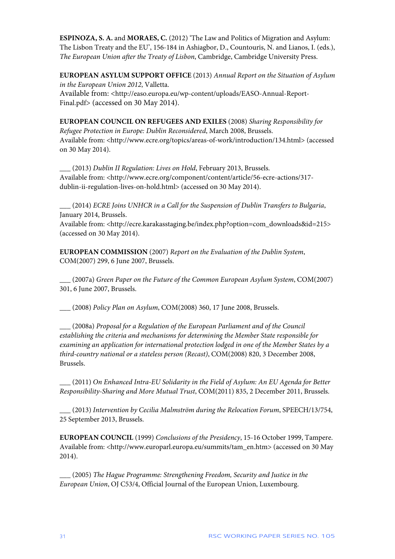**ESPINOZA, S. A.** and **MORAES, C.** (2012) 'The Law and Politics of Migration and Asylum: The Lisbon Treaty and the EU', 156-184 in Ashiagbor, D., Countouris, N. and Lianos, I. (eds.), *The European Union after the Treaty of Lisbon*, Cambridge, Cambridge University Press.

**EUROPEAN ASYLUM SUPPORT OFFICE** (2013) *Annual Report on the Situation of Asylum in the European Union 2012*, Valletta.

Available from: <http://easo.europa.eu/wp-content/uploads/EASO-Annual-Report-Final.pdf> (accessed on 30 May 2014).

**EUROPEAN COUNCIL ON REFUGEES AND EXILES** (2008) *Sharing Responsibility for Refugee Protection in Europe: Dublin Reconsidered*, March 2008, Brussels. Available from: <http://www.ecre.org/topics/areas-of-work/introduction/134.html> (accessed on 30 May 2014).

\_\_\_ (2013) *Dublin II Regulation: Lives on Hold*, February 2013, Brussels. Available from: <http://www.ecre.org/component/content/article/56-ecre-actions/317 dublin-ii-regulation-lives-on-hold.html> (accessed on 30 May 2014).

\_\_\_ (2014) *ECRE Joins UNHCR in a Call for the Suspension of Dublin Transfers to Bulgaria*, January 2014, Brussels.

Available from: <http://ecre.karakasstaging.be/index.php?option=com\_downloads&id=215> (accessed on 30 May 2014).

**EUROPEAN COMMISSION** (2007) *Report on the Evaluation of the Dublin System*, COM(2007) 299, 6 June 2007, Brussels.

\_\_\_ (2007a) *Green Paper on the Future of the Common European Asylum System*, COM(2007) 301, 6 June 2007, Brussels.

\_\_\_ (2008) *Policy Plan on Asylum*, COM(2008) 360, 17 June 2008, Brussels.

\_\_\_ (2008a) *Proposal for a Regulation of the European Parliament and of the Council establishing the criteria and mechanisms for determining the Member State responsible for examining an application for international protection lodged in one of the Member States by a third-country national or a stateless person (Recast)*, COM(2008) 820, 3 December 2008, Brussels.

\_\_\_ (2011) *On Enhanced Intra-EU Solidarity in the Field of Asylum: An EU Agenda for Better Responsibility-Sharing and More Mutual Trust*, COM(2011) 835, 2 December 2011, Brussels.

\_\_\_ (2013) *Intervention by Cecilia Malmström during the Relocation Forum*, SPEECH/13/754, 25 September 2013, Brussels.

**EUROPEAN COUNCIL** (1999) *Conclusions of the Presidency*, 15-16 October 1999, Tampere. Available from: <http://www.europarl.europa.eu/summits/tam\_en.htm> (accessed on 30 May 2014).

\_\_\_ (2005) *The Hague Programme: Strengthening Freedom, Security and Justice in the European Union*, OJ C53/4, Official Journal of the European Union, Luxembourg.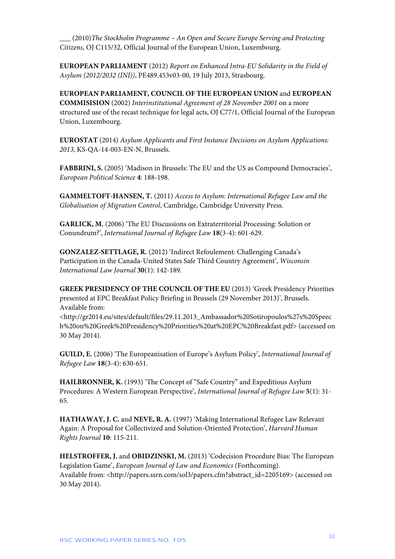\_\_\_ (2010)*The Stockholm Programme – An Open and Secure Europe Serving and Protecting Citizens*, OJ C115/32, Official Journal of the European Union, Luxembourg.

**EUROPEAN PARLIAMENT** (2012) *Report on Enhanced Intra-EU Solidarity in the Field of Asylum (2012/2032 (INI))*, PE489.453v03-00, 19 July 2013, Strasbourg.

**EUROPEAN PARLIAMENT, COUNCIL OF THE EUROPEAN UNION** and **EUROPEAN COMMISISION** (2002) *Interinstitutional Agreement of 28 November 2001* on a more structured use of the recast technique for legal acts, OJ C77/1, Official Journal of the European Union, Luxembourg.

**EUROSTAT** (2014) *Asylum Applicants and First Instance Decisions on Asylum Applications: 2013*, KS-QA-14-003-EN-N, Brussels.

**FABBRINI, S.** (2005) 'Madison in Brussels: The EU and the US as Compound Democracies', *European Political Science* **4**: 188-198.

**GAMMELTOFT-HANSEN, T.** (2011) *Access to Asylum: International Refugee Law and the Globalisation of Migration Control*, Cambridge, Cambridge University Press.

**GARLICK, M.** (2006) 'The EU Discussions on Extraterritorial Processing: Solution or Conundrum?', *International Journal of Refugee Law* **18**(3-4): 601-629.

**GONZALEZ-SETTLAGE, R.** (2012) 'Indirect Refoulement: Challenging Canada's Participation in the Canada-United States Safe Third Country Agreement', *Wisconsin International Law Journal* **30**(1): 142-189.

**GREEK PRESIDENCY OF THE COUNCIL OF THE EU** (2013) 'Greek Presidency Priorities presented at EPC Breakfast Policy Briefing in Brussels (29 November 2013)', Brussels. Available from:

<http://gr2014.eu/sites/default/files/29.11.2013\_Ambassador%20Sotiropoulos%27s%20Speec h%20on%20Greek%20Presidency%20Priorities%20at%20EPC%20Breakfast.pdf> (accessed on 30 May 2014).

**GUILD, E.** (2006) 'The Europeanisation of Europe's Asylum Policy', *International Journal of Refugee Law* **18**(3-4): 630-651.

**HAILBRONNER, K.** (1993) 'The Concept of "Safe Country" and Expeditious Asylum Procedures: A Western European Perspective', *International Journal of Refugee Law* **5**(1): 31- 65.

**HATHAWAY, J. C.** and **NEVE, R. A.** (1997) 'Making International Refugee Law Relevant Again: A Proposal for Collectivized and Solution-Oriented Protection', *Harvard Human Rights Journal* **10**: 115-211.

**HELSTROFFER, J.** and **OBIDZINSKI, M.** (2013) 'Codecision Procedure Bias: The European Legislation Game', *European Journal of Law and Economics* (Forthcoming). Available from: <http://papers.ssrn.com/sol3/papers.cfm?abstract\_id=2205169> (accessed on 30 May 2014).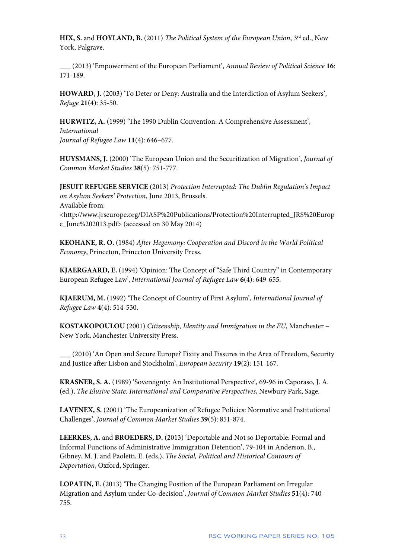**HIX, S. and HOYLAND, B.** (2011) *The Political System of the European Union*, 3<sup>rd</sup> ed., New York, Palgrave.

\_\_\_ (2013) 'Empowerment of the European Parliament', *Annual Review of Political Science* **16**: 171-189.

**HOWARD, J.** (2003) 'To Deter or Deny: Australia and the Interdiction of Asylum Seekers', *Refuge* **21**(4): 35-50.

**HURWITZ, A.** (1999) 'The 1990 Dublin Convention: A Comprehensive Assessment', *International Journal of Refugee Law* **11**(4): 646–677.

**HUYSMANS, J.** (2000) 'The European Union and the Securitization of Migration', *Journal of Common Market Studies* **38**(5): 751-777.

**JESUIT REFUGEE SERVICE** (2013) *Protection Interrupted: The Dublin Regulation's Impact on Asylum Seekers' Protection*, June 2013, Brussels. Available from: <http://www.jrseurope.org/DIASP%20Publications/Protection%20Interrupted\_JRS%20Europ e\_June%202013.pdf> (accessed on 30 May 2014)

**KEOHANE, R. O.** (1984) *After Hegemony: Cooperation and Discord in the World Political Economy*, Princeton, Princeton University Press.

**KJAERGAARD, E.** (1994) 'Opinion: The Concept of "Safe Third Country" in Contemporary European Refugee Law', *International Journal of Refugee Law* **6**(4): 649-655.

**KJAERUM, M.** (1992) 'The Concept of Country of First Asylum', *International Journal of Refugee Law* **4**(4): 514-530.

**KOSTAKOPOULOU** (2001) *Citizenship, Identity and Immigration in the EU*, Manchester – New York, Manchester University Press.

\_\_\_ (2010) 'An Open and Secure Europe? Fixity and Fissures in the Area of Freedom, Security and Justice after Lisbon and Stockholm', *European Security* **19**(2): 151-167.

**KRASNER, S. A.** (1989) 'Sovereignty: An Institutional Perspective', 69-96 in Caporaso, J. A. (ed.), *The Elusive State: International and Comparative Perspectives*, Newbury Park, Sage.

**LAVENEX, S.** (2001) 'The Europeanization of Refugee Policies: Normative and Institutional Challenges', *Journal of Common Market Studies* **39**(5): 851-874.

**LEERKES, A.** and **BROEDERS, D.** (2013) 'Deportable and Not so Deportable: Formal and Informal Functions of Administrative Immigration Detention', 79-104 in Anderson, B., Gibney, M. J. and Paoletti, E. (eds.), *The Social, Political and Historical Contours of Deportation*, Oxford, Springer.

**LOPATIN, E.** (2013) 'The Changing Position of the European Parliament on Irregular Migration and Asylum under Co-decision', *Journal of Common Market Studies* **51**(4): 740- 755.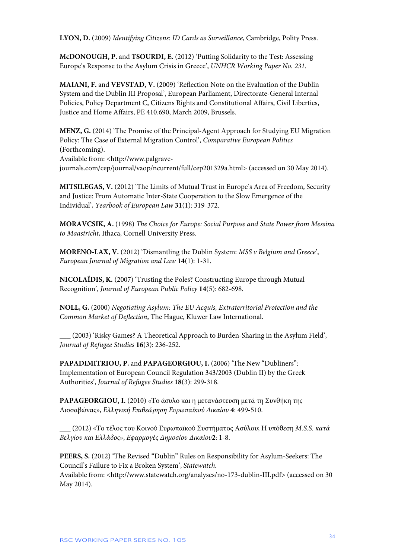**LYON, D.** (2009) *Identifying Citizens: ID Cards as Surveillance*, Cambridge, Polity Press.

**McDONOUGH, P.** and **TSOURDI, E.** (2012) 'Putting Solidarity to the Test: Assessing Europe's Response to the Asylum Crisis in Greece', *UNHCR Working Paper No. 231*.

**MAIANI, F.** and **VEVSTAD, V.** (2009) 'Reflection Note on the Evaluation of the Dublin System and the Dublin III Proposal', European Parliament, Directorate-General Internal Policies, Policy Department C, Citizens Rights and Constitutional Affairs, Civil Liberties, Justice and Home Affairs, PE 410.690, March 2009, Brussels.

**MENZ, G.** (2014) 'The Promise of the Principal-Agent Approach for Studying EU Migration Policy: The Case of External Migration Control', *Comparative European Politics*  (Forthcoming).

Available from: <http://www.palgravejournals.com/cep/journal/vaop/ncurrent/full/cep201329a.html> (accessed on 30 May 2014).

**MITSILEGAS, V.** (2012) 'The Limits of Mutual Trust in Europe's Area of Freedom, Security and Justice: From Automatic Inter-State Cooperation to the Slow Emergence of the Individual', *Yearbook of European Law* **31**(1): 319-372.

**MORAVCSIK, A.** (1998) *The Choice for Europe: Social Purpose and State Power from Messina to Maastricht*, Ithaca, Cornell University Press.

**MORENO-LAX, V.** (2012) 'Dismantling the Dublin System: *MSS v Belgium and Greece*', *European Journal of Migration and Law* **14**(1): 1-31.

**NICOLAÏDIS, K.** (2007) 'Trusting the Poles? Constructing Europe through Mutual Recognition', *Journal of European Public Policy* **14**(5): 682-698.

**NOLL, G.** (2000) *Negotiating Asylum: The EU Acquis, Extraterritorial Protection and the Common Market of Deflection*, The Hague, Kluwer Law International.

\_\_\_ (2003) 'Risky Games? A Theoretical Approach to Burden-Sharing in the Asylum Field', *Journal of Refugee Studies* **16**(3): 236-252.

PAPADIMITRIOU, P. and PAPAGEORGIOU, I. (2006) 'The New "Dubliners": Implementation of European Council Regulation 343/2003 (Dublin II) by the Greek Authorities', *Journal of Refugee Studies* **18**(3): 299-318.

**PAPAGEORGIOU, I.** (2010) «Το άσυλο και η μετανάστευση μετά τη Συνθήκη της Λισσαβώνας», *Ελληνική Επιθεώρηση Ευρωπαϊκού Δικαίου* **4**: 499-510.

**\_\_\_** (2012) «Το τέλος του Κοινού Ευρωπαϊκού Συστήματος Ασύλου; Η υπόθεση *M.S.S. κατά Βελγίου και Ελλάδος*», *Εφαρμογές Δημοσίου Δικαίου***2**: 1-8.

**PEERS, S.** (2012) 'The Revised "Dublin" Rules on Responsibility for Asylum-Seekers: The Council's Failure to Fix a Broken System', *Statewatch*. Available from: <http://www.statewatch.org/analyses/no-173-dublin-III.pdf> (accessed on 30

May 2014).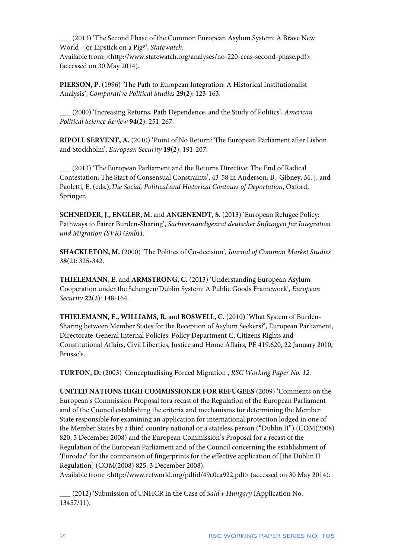\_\_\_ (2013) 'The Second Phase of the Common European Asylum System: A Brave New World – or Lipstick on a Pig?', *Statewatch*.

Available from: <http://www.statewatch.org/analyses/no-220-ceas-second-phase.pdf> (accessed on 30 May 2014).

**PIERSON, P.** (1996) 'The Path to European Integration: A Historical Institutionalist Analysis', *Comparative Political Studies* **29**(2): 123-163.

\_\_\_ (2000) 'Increasing Returns, Path Dependence, and the Study of Politics', *American Political Science Review* **94**(2): 251-267.

**RIPOLL SERVENT, A.** (2010) 'Point of No Return? The European Parliament after Lisbon and Stockholm', *European Security* **19**(2): 191-207.

**\_\_\_** (2013) 'The European Parliament and the Returns Directive: The End of Radical Contestation; The Start of Consensual Constraints', 43-58 in Anderson, B., Gibney, M. J. and Paoletti, E. (eds.),*The Social, Political and Historical Contours of Deportation*, Oxford, Springer.

**SCHNEIDER, J., ENGLER, M.** and **ANGENENDT, S.** (2013) 'European Refugee Policy: Pathways to Fairer Burden-Sharing', *Sachverständigenrat deutscher Stiftungen für Integration und Migration (SVR) GmbH*.

**SHACKLETON, M.** (2000) 'The Politics of Co-decision', *Journal of Common Market Studies*  **38**(2): 325-342.

**THIELEMANN, E.** and **ARMSTRONG, C.** (2013) 'Understanding European Asylum Cooperation under the Schengen/Dublin System: A Public Goods Framework', *European Security* **22**(2): 148-164.

**THIELEMANN, E., WILLIAMS, R.** and **BOSWELL, C.** (2010) 'What System of Burden-Sharing between Member States for the Reception of Asylum Seekers?', European Parliament, Directorate-General Internal Policies, Policy Department C, Citizens Rights and Constitutional Affairs, Civil Liberties, Justice and Home Affairs, PE 419.620, 22 January 2010, Brussels.

**TURTON, D.** (2003) 'Conceptualising Forced Migration', *RSC Working Paper No. 12.*

**UNITED NATIONS HIGH COMMISSIONER FOR REFUGEES** (2009) 'Comments on the European's Commission Proposal fora recast of the Regulation of the European Parliament and of the Council establishing the criteria and mechanisms for determining the Member State responsible for examining an application for international protection lodged in one of the Member States by a third country national or a stateless person ("Dublin II") (COM(2008) 820, 3 December 2008) and the European Commission's Proposal for a recast of the Regulation of the European Parliament and of the Council concerning the establishment of 'Eurodac' for the comparison of fingerprints for the effective application of [the Dublin II Regulation] (COM(2008) 825, 3 December 2008).

Available from: <http://www.refworld.org/pdfid/49c0ca922.pdf> (accessed on 30 May 2014).

\_\_\_ (2012) 'Submission of UNHCR in the Case of *Said v Hungary* (Application No. 13457/11).